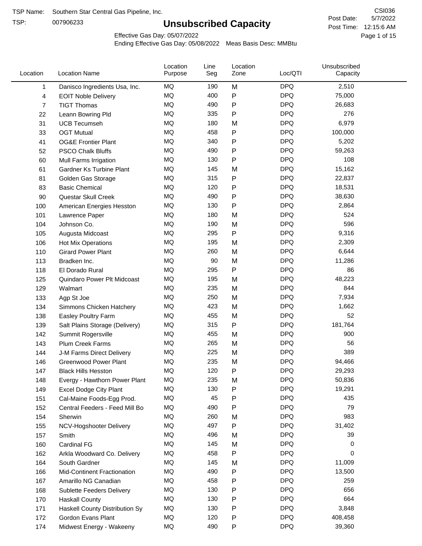TSP:

# **Unsubscribed Capacity**

5/7/2022 Page 1 of 15 Post Time: 12:15:6 AM CSI036 Post Date:

Effective Gas Day: 05/07/2022

| Location | <b>Location Name</b>             | Location<br>Purpose | Line<br>Seg | Location<br>Zone | Loc/QTI    | Unsubscribed<br>Capacity |  |
|----------|----------------------------------|---------------------|-------------|------------------|------------|--------------------------|--|
| 1        | Danisco Ingredients Usa, Inc.    | MQ                  | 190         | M                | <b>DPQ</b> | 2,510                    |  |
| 4        | <b>EOIT Noble Delivery</b>       | <b>MQ</b>           | 400         | P                | <b>DPQ</b> | 75,000                   |  |
| 7        | <b>TIGT Thomas</b>               | <b>MQ</b>           | 490         | P                | <b>DPQ</b> | 26,683                   |  |
| 22       | Leann Bowring Pld                | <b>MQ</b>           | 335         | P                | <b>DPQ</b> | 276                      |  |
| 31       | <b>UCB Tecumseh</b>              | <b>MQ</b>           | 180         | M                | <b>DPQ</b> | 6,979                    |  |
| 33       | <b>OGT Mutual</b>                | MQ                  | 458         | P                | <b>DPQ</b> | 100,000                  |  |
| 41       | <b>OG&amp;E Frontier Plant</b>   | MQ                  | 340         | P                | <b>DPQ</b> | 5,202                    |  |
| 52       | <b>PSCO Chalk Bluffs</b>         | MQ                  | 490         | P                | <b>DPQ</b> | 59,263                   |  |
| 60       | Mull Farms Irrigation            | MQ                  | 130         | Ρ                | <b>DPQ</b> | 108                      |  |
| 61       | Gardner Ks Turbine Plant         | MQ                  | 145         | M                | <b>DPQ</b> | 15,162                   |  |
| 81       | Golden Gas Storage               | <b>MQ</b>           | 315         | P                | <b>DPQ</b> | 22,837                   |  |
| 83       | <b>Basic Chemical</b>            | <b>MQ</b>           | 120         | Ρ                | <b>DPQ</b> | 18,531                   |  |
| 90       | Questar Skull Creek              | MQ                  | 490         | P                | <b>DPQ</b> | 38,630                   |  |
| 100      | American Energies Hesston        | MQ                  | 130         | Ρ                | <b>DPQ</b> | 2,864                    |  |
| 101      | Lawrence Paper                   | MQ                  | 180         | M                | <b>DPQ</b> | 524                      |  |
| 104      | Johnson Co.                      | MQ                  | 190         | M                | <b>DPQ</b> | 596                      |  |
| 105      | Augusta Midcoast                 | MQ                  | 295         | P                | <b>DPQ</b> | 9,316                    |  |
| 106      | Hot Mix Operations               | MQ                  | 195         | M                | <b>DPQ</b> | 2,309                    |  |
| 110      | <b>Girard Power Plant</b>        | MQ                  | 260         | M                | <b>DPQ</b> | 6,644                    |  |
| 113      | Bradken Inc.                     | MQ                  | 90          | M                | <b>DPQ</b> | 11,286                   |  |
| 118      | El Dorado Rural                  | MQ                  | 295         | Ρ                | <b>DPQ</b> | 86                       |  |
| 125      | Quindaro Power Plt Midcoast      | <b>MQ</b>           | 195         | M                | <b>DPQ</b> | 48,223                   |  |
| 129      | Walmart                          | <b>MQ</b>           | 235         | M                | <b>DPQ</b> | 844                      |  |
| 133      | Agp St Joe                       | MQ                  | 250         | M                | <b>DPQ</b> | 7,934                    |  |
| 134      | Simmons Chicken Hatchery         | MQ                  | 423         | M                | <b>DPQ</b> | 1,662                    |  |
| 138      | Easley Poultry Farm              | MQ                  | 455         | M                | <b>DPQ</b> | 52                       |  |
| 139      | Salt Plains Storage (Delivery)   | MQ                  | 315         | P                | <b>DPQ</b> | 181,764                  |  |
| 142      | Summit Rogersville               | MQ                  | 455         | M                | <b>DPQ</b> | 900                      |  |
| 143      | Plum Creek Farms                 | MQ                  | 265         | M                | <b>DPQ</b> | 56                       |  |
| 144      | J-M Farms Direct Delivery        | MQ                  | 225         | M                | <b>DPQ</b> | 389                      |  |
| 146      | <b>Greenwood Power Plant</b>     | MQ                  | 235         | M                | <b>DPQ</b> | 94,466                   |  |
| 147      | <b>Black Hills Hesston</b>       | MQ                  | 120         | Ρ                | <b>DPQ</b> | 29,293                   |  |
| 148      | Evergy - Hawthorn Power Plant    | ΜQ                  | 235         | M                | <b>DPQ</b> | 50,836                   |  |
| 149      | <b>Excel Dodge City Plant</b>    | MQ                  | 130         | P                | <b>DPQ</b> | 19,291                   |  |
| 151      | Cal-Maine Foods-Egg Prod.        | MQ                  | 45          | Ρ                | <b>DPQ</b> | 435                      |  |
| 152      | Central Feeders - Feed Mill Bo   | MQ                  | 490         | Ρ                | <b>DPQ</b> | 79                       |  |
| 154      | Sherwin                          | MQ                  | 260         | M                | <b>DPQ</b> | 983                      |  |
| 155      | NCV-Hogshooter Delivery          | MQ                  | 497         | P                | <b>DPQ</b> | 31,402                   |  |
| 157      | Smith                            | MQ                  | 496         | M                | <b>DPQ</b> | 39                       |  |
| 160      | Cardinal FG                      | MQ                  | 145         | M                | <b>DPQ</b> | 0                        |  |
| 162      | Arkla Woodward Co. Delivery      | MQ                  | 458         | P                | <b>DPQ</b> | 0                        |  |
| 164      | South Gardner                    | MQ                  | 145         | M                | <b>DPQ</b> | 11,009                   |  |
| 166      | Mid-Continent Fractionation      | MQ                  | 490         | P                | <b>DPQ</b> | 13,500                   |  |
| 167      | Amarillo NG Canadian             | MQ                  | 458         | Ρ                | <b>DPQ</b> | 259                      |  |
| 168      | <b>Sublette Feeders Delivery</b> | MQ                  | 130         | Ρ                | <b>DPQ</b> | 656                      |  |
| 170      | <b>Haskall County</b>            | MQ                  | 130         | Ρ                | <b>DPQ</b> | 664                      |  |
| 171      | Haskell County Distribution Sy   | MQ                  | 130         | Ρ                | <b>DPQ</b> | 3,848                    |  |
| 172      | Gordon Evans Plant               | MQ                  | 120         | Ρ                | <b>DPQ</b> | 408,458                  |  |
| 174      | Midwest Energy - Wakeeny         | MQ                  | 490         | P                | <b>DPQ</b> | 39,360                   |  |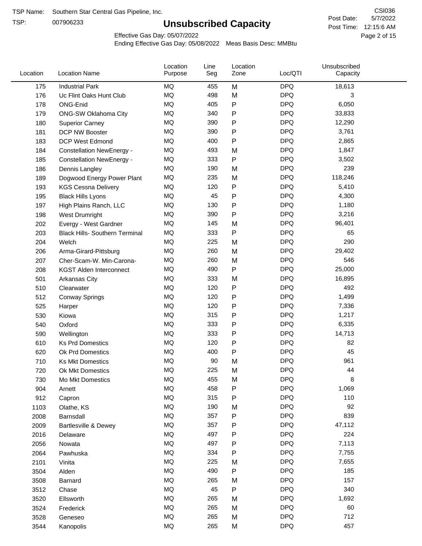TSP:

# **Unsubscribed Capacity**

5/7/2022 Page 2 of 15 Post Time: 12:15:6 AM CSI036 Post Date:

Effective Gas Day: 05/07/2022

| Location    | <b>Location Name</b>                  | Location<br>Purpose | Line<br>Seg | Location<br>Zone | Loc/QTI    | Unsubscribed<br>Capacity |  |
|-------------|---------------------------------------|---------------------|-------------|------------------|------------|--------------------------|--|
| 175         | <b>Industrial Park</b>                | MQ                  | 455         | M                | <b>DPQ</b> | 18,613                   |  |
| 176         | Uc Flint Oaks Hunt Club               | MQ                  | 498         | M                | <b>DPQ</b> | 3                        |  |
| 178         | ONG-Enid                              | MQ                  | 405         | P                | <b>DPQ</b> | 6,050                    |  |
| 179         | ONG-SW Oklahoma City                  | MQ                  | 340         | P                | <b>DPQ</b> | 33,833                   |  |
| 180         | <b>Superior Carney</b>                | MQ                  | 390         | P                | <b>DPQ</b> | 12,290                   |  |
| 181         | DCP NW Booster                        | <b>MQ</b>           | 390         | P                | <b>DPQ</b> | 3,761                    |  |
| 183         | <b>DCP West Edmond</b>                | MQ                  | 400         | P                | <b>DPQ</b> | 2,865                    |  |
| 184         | <b>Constellation NewEnergy -</b>      | MQ                  | 493         | M                | <b>DPQ</b> | 1,847                    |  |
| 185         | <b>Constellation NewEnergy -</b>      | MQ                  | 333         | P                | <b>DPQ</b> | 3,502                    |  |
| 186         | Dennis Langley                        | MQ                  | 190         | M                | <b>DPQ</b> | 239                      |  |
| 189         | Dogwood Energy Power Plant            | MQ                  | 235         | M                | <b>DPQ</b> | 118,246                  |  |
| 193         | <b>KGS Cessna Delivery</b>            | MQ                  | 120         | P                | <b>DPQ</b> | 5,410                    |  |
| 195         | <b>Black Hills Lyons</b>              | <b>MQ</b>           | 45          | P                | <b>DPQ</b> | 4,300                    |  |
| 197         | High Plains Ranch, LLC                | <b>MQ</b>           | 130         | P                | <b>DPQ</b> | 1,180                    |  |
| 198         | West Drumright                        | <b>MQ</b>           | 390         | P                | <b>DPQ</b> | 3,216                    |  |
| 202         | Evergy - West Gardner                 | <b>MQ</b>           | 145         | M                | <b>DPQ</b> | 96,401                   |  |
| 203         | <b>Black Hills- Southern Terminal</b> | <b>MQ</b>           | 333         | P                | <b>DPQ</b> | 65                       |  |
| 204         | Welch                                 | MQ                  | 225         | M                | <b>DPQ</b> | 290                      |  |
| 206         | Arma-Girard-Pittsburg                 | <b>MQ</b>           | 260         | M                | <b>DPQ</b> | 29,402                   |  |
| 207         | Cher-Scam-W. Min-Carona-              | MQ                  | 260         | M                | <b>DPQ</b> | 546                      |  |
| 208         | <b>KGST Alden Interconnect</b>        | <b>MQ</b>           | 490         | P                | <b>DPQ</b> | 25,000                   |  |
| 501         | Arkansas City                         | <b>MQ</b>           | 333         | M                | <b>DPQ</b> | 16,895                   |  |
| 510         | Clearwater                            | <b>MQ</b>           | 120         | P                | <b>DPQ</b> | 492                      |  |
| 512         | <b>Conway Springs</b>                 | <b>MQ</b>           | 120         | P                | <b>DPQ</b> | 1,499                    |  |
| 525         | Harper                                | <b>MQ</b>           | 120         | P                | <b>DPQ</b> | 7,336                    |  |
| 530         | Kiowa                                 | <b>MQ</b>           | 315         | P                | <b>DPQ</b> | 1,217                    |  |
| 540         | Oxford                                | <b>MQ</b>           | 333         | P                | <b>DPQ</b> | 6,335                    |  |
| 590         | Wellington                            | <b>MQ</b>           | 333         | P                | <b>DPQ</b> | 14,713                   |  |
| 610         | <b>Ks Prd Domestics</b>               | <b>MQ</b>           | 120         | P                | <b>DPQ</b> | 82                       |  |
| 620         | Ok Prd Domestics                      | <b>MQ</b>           | 400         | P                | <b>DPQ</b> | 45                       |  |
| 710         | <b>Ks Mkt Domestics</b>               | <b>MQ</b>           | 90          | M                | <b>DPQ</b> | 961                      |  |
| 720         | Ok Mkt Domestics                      | MQ                  | 225         | M                | <b>DPQ</b> | 44                       |  |
|             |                                       | MQ                  | 455         |                  | <b>DPQ</b> | 8                        |  |
| 730<br>904  | Mo Mkt Domestics                      | MQ                  | 458         | M<br>P           | <b>DPQ</b> | 1,069                    |  |
|             | Arnett                                | <b>MQ</b>           | 315         | P                | <b>DPQ</b> | 110                      |  |
| 912<br>1103 | Capron                                | <b>MQ</b>           | 190         |                  | <b>DPQ</b> | 92                       |  |
| 2008        | Olathe, KS<br>Barnsdall               | MQ                  | 357         | M<br>Ρ           | <b>DPQ</b> | 839                      |  |
| 2009        |                                       | MQ                  | 357         | P                | <b>DPQ</b> | 47,112                   |  |
|             | Bartlesville & Dewey                  | MQ                  | 497         |                  | <b>DPQ</b> | 224                      |  |
| 2016        | Delaware                              | MQ                  | 497         | P                | <b>DPQ</b> | 7,113                    |  |
| 2056        | Nowata                                | MQ                  | 334         | Ρ                | <b>DPQ</b> | 7,755                    |  |
| 2064        | Pawhuska                              | MQ                  | 225         | Ρ                | <b>DPQ</b> | 7,655                    |  |
| 2101        | Vinita                                | MQ                  | 490         | M                | <b>DPQ</b> | 185                      |  |
| 3504        | Alden                                 |                     |             | Ρ                | <b>DPQ</b> | 157                      |  |
| 3508        | Barnard                               | MQ                  | 265<br>45   | M                |            | 340                      |  |
| 3512        | Chase                                 | <b>MQ</b>           |             | P                | <b>DPQ</b> |                          |  |
| 3520        | Ellsworth                             | MQ                  | 265         | M                | <b>DPQ</b> | 1,692                    |  |
| 3524        | Frederick                             | MQ                  | 265         | M                | <b>DPQ</b> | 60                       |  |
| 3528        | Geneseo                               | MQ                  | 265         | M                | <b>DPQ</b> | 712                      |  |
| 3544        | Kanopolis                             | $\sf{MQ}$           | 265         | M                | <b>DPQ</b> | 457                      |  |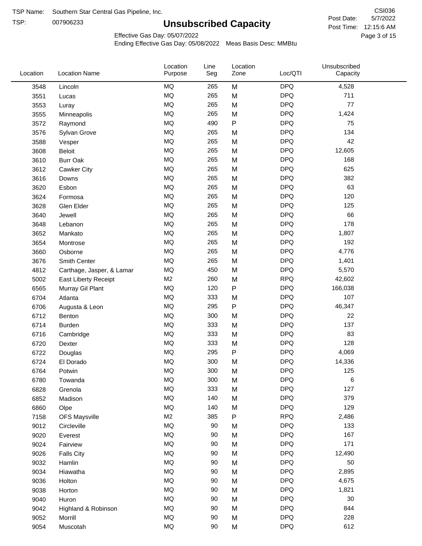TSP: 

# **Unsubscribed Capacity**

5/7/2022 Page 3 of 15 Post Time: 12:15:6 AM CSI036 Post Date:

Effective Gas Day: 05/07/2022

| Location | <b>Location Name</b>      | Location<br>Purpose | Line<br>Seg | Location<br>Zone | Loc/QTI    | Unsubscribed<br>Capacity |  |
|----------|---------------------------|---------------------|-------------|------------------|------------|--------------------------|--|
| 3548     | Lincoln                   | <b>MQ</b>           | 265         | M                | <b>DPQ</b> | 4,528                    |  |
| 3551     | Lucas                     | MQ                  | 265         | M                | <b>DPQ</b> | 711                      |  |
| 3553     | Luray                     | <b>MQ</b>           | 265         | M                | <b>DPQ</b> | 77                       |  |
| 3555     | Minneapolis               | <b>MQ</b>           | 265         | M                | <b>DPQ</b> | 1,424                    |  |
| 3572     | Raymond                   | <b>MQ</b>           | 490         | P                | <b>DPQ</b> | 75                       |  |
| 3576     | Sylvan Grove              | <b>MQ</b>           | 265         | M                | <b>DPQ</b> | 134                      |  |
| 3588     | Vesper                    | MQ                  | 265         | M                | <b>DPQ</b> | 42                       |  |
| 3608     | Beloit                    | MQ                  | 265         | M                | <b>DPQ</b> | 12,605                   |  |
| 3610     | <b>Burr Oak</b>           | <b>MQ</b>           | 265         | M                | <b>DPQ</b> | 168                      |  |
| 3612     | Cawker City               | <b>MQ</b>           | 265         | M                | <b>DPQ</b> | 625                      |  |
| 3616     | Downs                     | MQ                  | 265         | M                | <b>DPQ</b> | 382                      |  |
| 3620     | Esbon                     | MQ                  | 265         | M                | <b>DPQ</b> | 63                       |  |
| 3624     | Formosa                   | MQ                  | 265         | M                | <b>DPQ</b> | 120                      |  |
| 3628     | Glen Elder                | <b>MQ</b>           | 265         | M                | <b>DPQ</b> | 125                      |  |
| 3640     | Jewell                    | <b>MQ</b>           | 265         | M                | <b>DPQ</b> | 66                       |  |
| 3648     | Lebanon                   | <b>MQ</b>           | 265         | M                | <b>DPQ</b> | 178                      |  |
| 3652     | Mankato                   | MQ                  | 265         | M                | <b>DPQ</b> | 1,807                    |  |
| 3654     | Montrose                  | <b>MQ</b>           | 265         | M                | <b>DPQ</b> | 192                      |  |
| 3660     | Osborne                   | <b>MQ</b>           | 265         | M                | <b>DPQ</b> | 4,776                    |  |
| 3676     | Smith Center              | <b>MQ</b>           | 265         | M                | <b>DPQ</b> | 1,401                    |  |
| 4812     | Carthage, Jasper, & Lamar | <b>MQ</b>           | 450         | M                | <b>DPQ</b> | 5,570                    |  |
| 5002     | East Liberty Receipt      | M <sub>2</sub>      | 260         | M                | <b>RPQ</b> | 42,602                   |  |
| 6565     | Murray Gil Plant          | <b>MQ</b>           | 120         | $\mathsf{P}$     | <b>DPQ</b> | 166,038                  |  |
| 6704     | Atlanta                   | <b>MQ</b>           | 333         | M                | <b>DPQ</b> | 107                      |  |
| 6706     | Augusta & Leon            | MQ                  | 295         | P                | <b>DPQ</b> | 46,347                   |  |
| 6712     | Benton                    | <b>MQ</b>           | 300         | M                | <b>DPQ</b> | 22                       |  |
| 6714     | <b>Burden</b>             | <b>MQ</b>           | 333         | M                | <b>DPQ</b> | 137                      |  |
| 6716     | Cambridge                 | <b>MQ</b>           | 333         | M                | <b>DPQ</b> | 83                       |  |
| 6720     | Dexter                    | <b>MQ</b>           | 333         | M                | <b>DPQ</b> | 128                      |  |
| 6722     | Douglas                   | <b>MQ</b>           | 295         | P                | <b>DPQ</b> | 4,069                    |  |
| 6724     | El Dorado                 | <b>MQ</b>           | 300         | M                | <b>DPQ</b> | 14,336                   |  |
| 6764     | Potwin                    | <b>MQ</b>           | 300         | M                | <b>DPQ</b> | 125                      |  |
| 6780     | Towanda                   | MQ                  | 300         | M                | <b>DPQ</b> | 6                        |  |
| 6828     | Grenola                   | MQ                  | 333         | M                | <b>DPQ</b> | 127                      |  |
| 6852     | Madison                   | <b>MQ</b>           | 140         | M                | <b>DPQ</b> | 379                      |  |
| 6860     | Olpe                      | MQ                  | 140         | M                | <b>DPQ</b> | 129                      |  |
| 7158     | <b>OFS Maysville</b>      | M <sub>2</sub>      | 385         | ${\sf P}$        | <b>RPQ</b> | 2,486                    |  |
| 9012     | Circleville               | MQ                  | 90          | M                | <b>DPQ</b> | 133                      |  |
| 9020     | Everest                   | $\sf{MQ}$           | 90          | M                | <b>DPQ</b> | 167                      |  |
| 9024     | Fairview                  | $\sf{MQ}$           | 90          | M                | <b>DPQ</b> | 171                      |  |
| 9026     | <b>Falls City</b>         | MQ                  | 90          | M                | <b>DPQ</b> | 12,490                   |  |
| 9032     | Hamlin                    | MQ                  | 90          | M                | <b>DPQ</b> | 50                       |  |
| 9034     | Hiawatha                  | MQ                  | 90          | M                | <b>DPQ</b> | 2,895                    |  |
| 9036     | Holton                    | MQ                  | 90          | M                | <b>DPQ</b> | 4,675                    |  |
| 9038     | Horton                    | <b>MQ</b>           | 90          | M                | <b>DPQ</b> | 1,821                    |  |
| 9040     | Huron                     | MQ                  | 90          | M                | <b>DPQ</b> | 30                       |  |
| 9042     | Highland & Robinson       | MQ                  | 90          | M                | <b>DPQ</b> | 844                      |  |
| 9052     | Morrill                   | $\sf{MQ}$           | 90          | M                | <b>DPQ</b> | 228                      |  |
| 9054     | Muscotah                  | $\sf{MQ}$           | 90          | M                | <b>DPQ</b> | 612                      |  |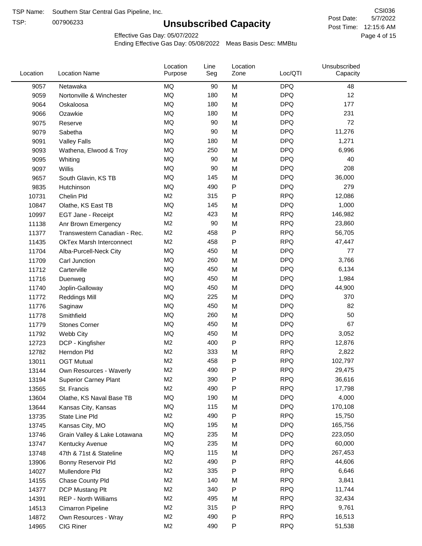TSP:

# **Unsubscribed Capacity**

5/7/2022 Page 4 of 15 Post Time: 12:15:6 AM CSI036 Post Date:

Effective Gas Day: 05/07/2022

| Location | <b>Location Name</b>            | Location<br>Purpose | Line<br>Seg | Location<br>Zone | Loc/QTI    | Unsubscribed<br>Capacity |  |
|----------|---------------------------------|---------------------|-------------|------------------|------------|--------------------------|--|
| 9057     | Netawaka                        | <b>MQ</b>           | 90          | M                | <b>DPQ</b> | 48                       |  |
| 9059     | Nortonville & Winchester        | MQ                  | 180         | M                | <b>DPQ</b> | 12                       |  |
| 9064     | Oskaloosa                       | MQ                  | 180         | M                | <b>DPQ</b> | 177                      |  |
| 9066     | Ozawkie                         | MQ                  | 180         | M                | <b>DPQ</b> | 231                      |  |
| 9075     | Reserve                         | <b>MQ</b>           | 90          | M                | <b>DPQ</b> | 72                       |  |
| 9079     | Sabetha                         | <b>MQ</b>           | 90          | M                | <b>DPQ</b> | 11,276                   |  |
| 9091     | <b>Valley Falls</b>             | <b>MQ</b>           | 180         | M                | <b>DPQ</b> | 1,271                    |  |
| 9093     | Wathena, Elwood & Troy          | <b>MQ</b>           | 250         | M                | <b>DPQ</b> | 6,996                    |  |
| 9095     | Whiting                         | MQ                  | 90          | M                | <b>DPQ</b> | 40                       |  |
| 9097     | Willis                          | <b>MQ</b>           | 90          | M                | <b>DPQ</b> | 208                      |  |
| 9657     | South Glavin, KS TB             | MQ                  | 145         | M                | <b>DPQ</b> | 36,000                   |  |
| 9835     | Hutchinson                      | MQ                  | 490         | ${\sf P}$        | <b>DPQ</b> | 279                      |  |
| 10731    | Chelin Pld                      | M <sub>2</sub>      | 315         | $\mathsf{P}$     | <b>RPQ</b> | 12,086                   |  |
| 10847    | Olathe, KS East TB              | MQ                  | 145         | M                | <b>DPQ</b> | 1,000                    |  |
| 10997    | EGT Jane - Receipt              | M <sub>2</sub>      | 423         | M                | <b>RPQ</b> | 146,982                  |  |
| 11138    | Anr Brown Emergency             | M <sub>2</sub>      | 90          | M                | <b>RPQ</b> | 23,860                   |  |
| 11377    | Transwestern Canadian - Rec.    | M <sub>2</sub>      | 458         | P                | <b>RPQ</b> | 56,705                   |  |
| 11435    | <b>OkTex Marsh Interconnect</b> | M <sub>2</sub>      | 458         | $\mathsf{P}$     | <b>RPQ</b> | 47,447                   |  |
| 11704    | Alba-Purcell-Neck City          | MQ                  | 450         | M                | <b>DPQ</b> | 77                       |  |
| 11709    | Carl Junction                   | <b>MQ</b>           | 260         | M                | <b>DPQ</b> | 3,766                    |  |
| 11712    | Carterville                     | <b>MQ</b>           | 450         | M                | <b>DPQ</b> | 6,134                    |  |
| 11716    | Duenweg                         | MQ                  | 450         | M                | <b>DPQ</b> | 1,984                    |  |
| 11740    | Joplin-Galloway                 | <b>MQ</b>           | 450         | M                | <b>DPQ</b> | 44,900                   |  |
| 11772    | <b>Reddings Mill</b>            | <b>MQ</b>           | 225         | M                | <b>DPQ</b> | 370                      |  |
| 11776    | Saginaw                         | <b>MQ</b>           | 450         | M                | <b>DPQ</b> | 82                       |  |
| 11778    | Smithfield                      | MQ                  | 260         | M                | <b>DPQ</b> | 50                       |  |
| 11779    | <b>Stones Corner</b>            | MQ                  | 450         | M                | <b>DPQ</b> | 67                       |  |
| 11792    | Webb City                       | <b>MQ</b>           | 450         | M                | <b>DPQ</b> | 3,052                    |  |
| 12723    | DCP - Kingfisher                | M <sub>2</sub>      | 400         | P                | <b>RPQ</b> | 12,876                   |  |
| 12782    | Herndon Pld                     | M <sub>2</sub>      | 333         | M                | <b>RPQ</b> | 2,822                    |  |
| 13011    | <b>OGT Mutual</b>               | M <sub>2</sub>      | 458         | P                | <b>RPQ</b> | 102,797                  |  |
| 13144    | Own Resources - Waverly         | M <sub>2</sub>      | 490         | P                | <b>RPQ</b> | 29,475                   |  |
| 13194    | <b>Superior Carney Plant</b>    | M <sub>2</sub>      | 390         | $\mathsf{P}$     | <b>RPQ</b> | 36,616                   |  |
| 13565    | St. Francis                     | M <sub>2</sub>      | 490         | $\mathsf{P}$     | <b>RPQ</b> | 17,798                   |  |
| 13604    | Olathe, KS Naval Base TB        | MQ                  | 190         | M                | <b>DPQ</b> | 4,000                    |  |
| 13644    | Kansas City, Kansas             | MQ                  | 115         | M                | <b>DPQ</b> | 170,108                  |  |
| 13735    | State Line Pld                  | M <sub>2</sub>      | 490         | P                | <b>RPQ</b> | 15,750                   |  |
| 13745    | Kansas City, MO                 | MQ                  | 195         | M                | <b>DPQ</b> | 165,756                  |  |
| 13746    | Grain Valley & Lake Lotawana    | MQ                  | 235         | M                | <b>DPQ</b> | 223,050                  |  |
| 13747    | Kentucky Avenue                 | MQ                  | 235         | M                | <b>DPQ</b> | 60,000                   |  |
| 13748    | 47th & 71st & Stateline         | MQ                  | 115         | M                | <b>DPQ</b> | 267,453                  |  |
| 13906    | Bonny Reservoir Pld             | M <sub>2</sub>      | 490         | P                | <b>RPQ</b> | 44,606                   |  |
| 14027    | Mullendore Pld                  | M <sub>2</sub>      | 335         | P                | <b>RPQ</b> | 6,646                    |  |
| 14155    | Chase County Pld                | M <sub>2</sub>      | 140         | M                | <b>RPQ</b> | 3,841                    |  |
| 14377    | DCP Mustang Plt                 | M <sub>2</sub>      | 340         | P                | <b>RPQ</b> | 11,744                   |  |
| 14391    | <b>REP - North Williams</b>     | M <sub>2</sub>      | 495         | M                | <b>RPQ</b> | 32,434                   |  |
| 14513    | Cimarron Pipeline               | M <sub>2</sub>      | 315         | ${\sf P}$        | <b>RPQ</b> | 9,761                    |  |
| 14872    | Own Resources - Wray            | M <sub>2</sub>      | 490         | $\mathsf{P}$     | <b>RPQ</b> | 16,513                   |  |
| 14965    | CIG Riner                       | M <sub>2</sub>      | 490         | $\mathsf{P}$     | <b>RPQ</b> | 51,538                   |  |
|          |                                 |                     |             |                  |            |                          |  |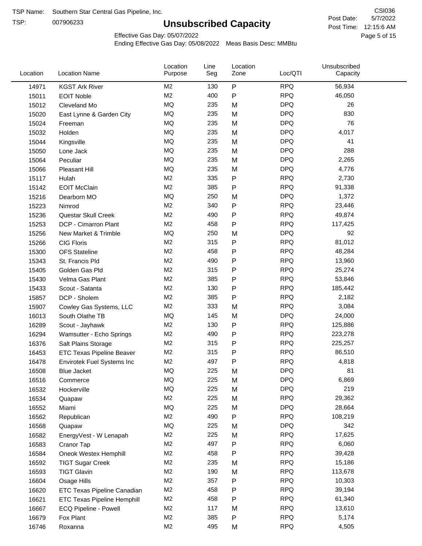TSP:

# **Unsubscribed Capacity**

5/7/2022 Page 5 of 15 Post Time: 12:15:6 AM CSI036 Post Date:

Effective Gas Day: 05/07/2022

| Location | <b>Location Name</b>               | Location<br>Purpose | Line<br>Seg | Location<br>Zone | Loc/QTI    | Unsubscribed<br>Capacity |  |
|----------|------------------------------------|---------------------|-------------|------------------|------------|--------------------------|--|
| 14971    | <b>KGST Ark River</b>              | M2                  | 130         | ${\sf P}$        | <b>RPQ</b> | 56,934                   |  |
| 15011    | <b>EOIT Noble</b>                  | M <sub>2</sub>      | 400         | P                | <b>RPQ</b> | 46,050                   |  |
| 15012    | Cleveland Mo                       | <b>MQ</b>           | 235         | M                | <b>DPQ</b> | 26                       |  |
| 15020    | East Lynne & Garden City           | <b>MQ</b>           | 235         | M                | <b>DPQ</b> | 830                      |  |
| 15024    | Freeman                            | <b>MQ</b>           | 235         | M                | <b>DPQ</b> | 76                       |  |
| 15032    | Holden                             | <b>MQ</b>           | 235         | M                | <b>DPQ</b> | 4,017                    |  |
| 15044    | Kingsville                         | <b>MQ</b>           | 235         | M                | <b>DPQ</b> | 41                       |  |
| 15050    | Lone Jack                          | <b>MQ</b>           | 235         | M                | <b>DPQ</b> | 288                      |  |
| 15064    | Peculiar                           | <b>MQ</b>           | 235         | M                | <b>DPQ</b> | 2,265                    |  |
| 15066    | Pleasant Hill                      | <b>MQ</b>           | 235         | M                | <b>DPQ</b> | 4,776                    |  |
| 15117    | Hulah                              | M <sub>2</sub>      | 335         | Ρ                | <b>RPQ</b> | 2,730                    |  |
| 15142    | <b>EOIT McClain</b>                | M <sub>2</sub>      | 385         | P                | <b>RPQ</b> | 91,338                   |  |
| 15216    | Dearborn MO                        | MQ                  | 250         | M                | <b>DPQ</b> | 1,372                    |  |
| 15223    | Nimrod                             | M <sub>2</sub>      | 340         | P                | <b>RPQ</b> | 23,446                   |  |
| 15236    | Questar Skull Creek                | M <sub>2</sub>      | 490         | P                | <b>RPQ</b> | 49,874                   |  |
| 15253    | DCP - Cimarron Plant               | M <sub>2</sub>      | 458         | Ρ                | <b>RPQ</b> | 117,425                  |  |
| 15256    | New Market & Trimble               | <b>MQ</b>           | 250         | M                | <b>DPQ</b> | 92                       |  |
| 15266    | <b>CIG Floris</b>                  | M <sub>2</sub>      | 315         | Ρ                | <b>RPQ</b> | 81,012                   |  |
| 15300    | <b>OFS Stateline</b>               | M <sub>2</sub>      | 458         | P                | <b>RPQ</b> | 48,284                   |  |
| 15343    | St. Francis Pld                    | M <sub>2</sub>      | 490         | Ρ                | <b>RPQ</b> | 13,960                   |  |
| 15405    | Golden Gas Pld                     | M <sub>2</sub>      | 315         | P                | <b>RPQ</b> | 25,274                   |  |
| 15430    | Velma Gas Plant                    | M <sub>2</sub>      | 385         | Ρ                | <b>RPQ</b> | 53,846                   |  |
| 15433    | Scout - Satanta                    | M <sub>2</sub>      | 130         | P                | <b>RPQ</b> | 185,442                  |  |
| 15857    | DCP - Sholem                       | M <sub>2</sub>      | 385         | P                | <b>RPQ</b> | 2,182                    |  |
| 15907    | Cowley Gas Systems, LLC            | M <sub>2</sub>      | 333         | M                | <b>RPQ</b> | 3,084                    |  |
| 16013    | South Olathe TB                    | MQ                  | 145         | M                | <b>DPQ</b> | 24,000                   |  |
| 16289    | Scout - Jayhawk                    | M2                  | 130         | Ρ                | <b>RPQ</b> | 125,886                  |  |
| 16294    | Wamsutter - Echo Springs           | M <sub>2</sub>      | 490         | P                | <b>RPQ</b> | 223,278                  |  |
| 16376    | Salt Plains Storage                | M <sub>2</sub>      | 315         | Ρ                | <b>RPQ</b> | 225,257                  |  |
| 16453    | <b>ETC Texas Pipeline Beaver</b>   | M <sub>2</sub>      | 315         | P                | <b>RPQ</b> | 86,510                   |  |
| 16478    | Envirotek Fuel Systems Inc         | M <sub>2</sub>      | 497         | Ρ                | <b>RPQ</b> | 4,818                    |  |
| 16508    | Blue Jacket                        | MQ                  | 225         | M                | <b>DPQ</b> | 81                       |  |
| 16516    | Commerce                           | MQ                  | 225         | M                | <b>DPQ</b> | 6,869                    |  |
| 16532    | Hockerville                        | MQ                  | 225         | M                | <b>DPQ</b> | 219                      |  |
| 16534    | Quapaw                             | M <sub>2</sub>      | 225         | M                | <b>RPQ</b> | 29,362                   |  |
| 16552    | Miami                              | MQ                  | 225         | M                | <b>DPQ</b> | 28,664                   |  |
| 16562    | Republican                         | M2                  | 490         | P                | <b>RPQ</b> | 108,219                  |  |
| 16568    | Quapaw                             | <b>MQ</b>           | 225         | M                | <b>DPQ</b> | 342                      |  |
| 16582    | EnergyVest - W Lenapah             | M <sub>2</sub>      | 225         | M                | <b>RPQ</b> | 17,625                   |  |
| 16583    | Cranor Tap                         | M <sub>2</sub>      | 497         | Ρ                | <b>RPQ</b> | 6,060                    |  |
| 16584    | Oneok Westex Hemphill              | M <sub>2</sub>      | 458         | P                | <b>RPQ</b> | 39,428                   |  |
| 16592    | <b>TIGT Sugar Creek</b>            | M <sub>2</sub>      | 235         | M                | <b>RPQ</b> | 15,186                   |  |
| 16593    | <b>TIGT Glavin</b>                 | M <sub>2</sub>      | 190         | M                | <b>RPQ</b> | 113,678                  |  |
| 16604    | Osage Hills                        | M <sub>2</sub>      | 357         | Ρ                | <b>RPQ</b> | 10,303                   |  |
| 16620    | <b>ETC Texas Pipeline Canadian</b> | M <sub>2</sub>      | 458         | Ρ                | <b>RPQ</b> | 39,194                   |  |
| 16621    | <b>ETC Texas Pipeline Hemphill</b> | M <sub>2</sub>      | 458         | Ρ                | <b>RPQ</b> | 61,340                   |  |
| 16667    | ECQ Pipeline - Powell              | M <sub>2</sub>      | 117         | M                | <b>RPQ</b> | 13,610                   |  |
| 16679    | Fox Plant                          | M <sub>2</sub>      | 385         | Ρ                | <b>RPQ</b> | 5,174                    |  |
| 16746    | Roxanna                            | M <sub>2</sub>      | 495         | M                | <b>RPQ</b> | 4,505                    |  |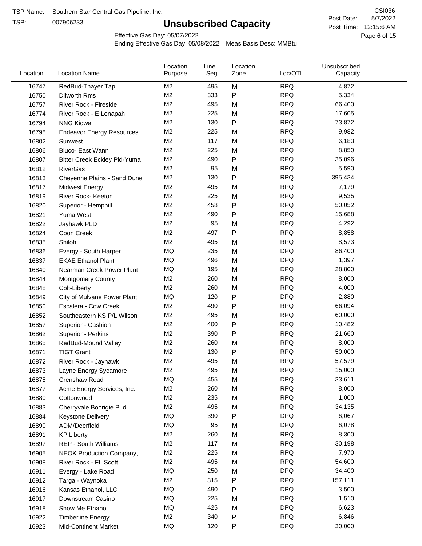TSP:

# **Unsubscribed Capacity**

5/7/2022 Page 6 of 15 Post Time: 12:15:6 AM CSI036 Post Date:

Effective Gas Day: 05/07/2022

| Location | <b>Location Name</b>             | Location<br>Purpose | Line<br>Seg | Location<br>Zone | Loc/QTI    | Unsubscribed<br>Capacity |  |
|----------|----------------------------------|---------------------|-------------|------------------|------------|--------------------------|--|
| 16747    | RedBud-Thayer Tap                | M <sub>2</sub>      | 495         | M                | <b>RPQ</b> | 4,872                    |  |
| 16750    | Dilworth Rms                     | M2                  | 333         | P                | <b>RPQ</b> | 5,334                    |  |
| 16757    | River Rock - Fireside            | M <sub>2</sub>      | 495         | M                | <b>RPQ</b> | 66,400                   |  |
| 16774    | River Rock - E Lenapah           | M <sub>2</sub>      | 225         | M                | <b>RPQ</b> | 17,605                   |  |
| 16794    | <b>NNG Kiowa</b>                 | M <sub>2</sub>      | 130         | P                | <b>RPQ</b> | 73,872                   |  |
| 16798    | <b>Endeavor Energy Resources</b> | M <sub>2</sub>      | 225         | M                | <b>RPQ</b> | 9,982                    |  |
| 16802    | Sunwest                          | M <sub>2</sub>      | 117         | M                | <b>RPQ</b> | 6,183                    |  |
| 16806    | Bluco- East Wann                 | M <sub>2</sub>      | 225         | M                | <b>RPQ</b> | 8,850                    |  |
| 16807    | Bitter Creek Eckley Pld-Yuma     | M <sub>2</sub>      | 490         | P                | <b>RPQ</b> | 35,096                   |  |
| 16812    | <b>RiverGas</b>                  | M <sub>2</sub>      | 95          | M                | <b>RPQ</b> | 5,590                    |  |
| 16813    | Cheyenne Plains - Sand Dune      | M <sub>2</sub>      | 130         | P                | <b>RPQ</b> | 395,434                  |  |
| 16817    | <b>Midwest Energy</b>            | M <sub>2</sub>      | 495         | M                | <b>RPQ</b> | 7,179                    |  |
| 16819    | River Rock- Keeton               | M <sub>2</sub>      | 225         | M                | <b>RPQ</b> | 9,535                    |  |
| 16820    | Superior - Hemphill              | M <sub>2</sub>      | 458         | P                | <b>RPQ</b> | 50,052                   |  |
| 16821    | Yuma West                        | M <sub>2</sub>      | 490         | P                | <b>RPQ</b> | 15,688                   |  |
| 16822    | Jayhawk PLD                      | M <sub>2</sub>      | 95          | M                | <b>RPQ</b> | 4,292                    |  |
| 16824    | Coon Creek                       | M <sub>2</sub>      | 497         | P                | <b>RPQ</b> | 8,858                    |  |
| 16835    | Shiloh                           | M <sub>2</sub>      | 495         | M                | <b>RPQ</b> | 8,573                    |  |
| 16836    | Evergy - South Harper            | MQ                  | 235         | M                | <b>DPQ</b> | 86,400                   |  |
| 16837    | <b>EKAE Ethanol Plant</b>        | MQ                  | 496         | M                | <b>DPQ</b> | 1,397                    |  |
| 16840    | Nearman Creek Power Plant        | MQ                  | 195         | M                | <b>DPQ</b> | 28,800                   |  |
| 16844    | <b>Montgomery County</b>         | M <sub>2</sub>      | 260         | M                | <b>RPQ</b> | 8,000                    |  |
| 16848    | Colt-Liberty                     | M <sub>2</sub>      | 260         | M                | <b>RPQ</b> | 4,000                    |  |
| 16849    | City of Mulvane Power Plant      | <b>MQ</b>           | 120         | P                | <b>DPQ</b> | 2,880                    |  |
| 16850    | Escalera - Cow Creek             | M <sub>2</sub>      | 490         | Ρ                | <b>RPQ</b> | 66,094                   |  |
| 16852    | Southeastern KS P/L Wilson       | M <sub>2</sub>      | 495         | M                | <b>RPQ</b> | 60,000                   |  |
| 16857    | Superior - Cashion               | M <sub>2</sub>      | 400         | Ρ                | <b>RPQ</b> | 10,482                   |  |
| 16862    | Superior - Perkins               | M <sub>2</sub>      | 390         | Ρ                | <b>RPQ</b> | 21,660                   |  |
| 16865    | RedBud-Mound Valley              | M <sub>2</sub>      | 260         | M                | <b>RPQ</b> | 8,000                    |  |
| 16871    | <b>TIGT Grant</b>                | M <sub>2</sub>      | 130         | Ρ                | <b>RPQ</b> | 50,000                   |  |
| 16872    | River Rock - Jayhawk             | M <sub>2</sub>      | 495         | M                | <b>RPQ</b> | 57,579                   |  |
| 16873    | Layne Energy Sycamore            | M <sub>2</sub>      | 495         | M                | <b>RPQ</b> | 15,000                   |  |
| 16875    | Crenshaw Road                    | MQ                  | 455         | M                | <b>DPQ</b> | 33,611                   |  |
| 16877    | Acme Energy Services, Inc.       | M <sub>2</sub>      | 260         | M                | <b>RPQ</b> | 8,000                    |  |
| 16880    | Cottonwood                       | M <sub>2</sub>      | 235         | M                | <b>RPQ</b> | 1,000                    |  |
| 16883    | Cherryvale Boorigie PLd          | M <sub>2</sub>      | 495         | M                | <b>RPQ</b> | 34,135                   |  |
| 16884    | <b>Keystone Delivery</b>         | MQ                  | 390         | P                | <b>DPQ</b> | 6,067                    |  |
| 16890    | ADM/Deerfield                    | MQ                  | 95          | M                | <b>DPQ</b> | 6,078                    |  |
| 16891    | <b>KP Liberty</b>                | M <sub>2</sub>      | 260         | M                | <b>RPQ</b> | 8,300                    |  |
| 16897    | REP - South Williams             | M <sub>2</sub>      | 117         | M                | <b>RPQ</b> | 30,198                   |  |
| 16905    | NEOK Production Company,         | M2                  | 225         | M                | <b>RPQ</b> | 7,970                    |  |
| 16908    | River Rock - Ft. Scott           | M <sub>2</sub>      | 495         | M                | <b>RPQ</b> | 54,600                   |  |
| 16911    | Evergy - Lake Road               | MQ                  | 250         | M                | <b>DPQ</b> | 34,400                   |  |
| 16912    | Targa - Waynoka                  | M <sub>2</sub>      | 315         | P                | <b>RPQ</b> | 157,111                  |  |
| 16916    | Kansas Ethanol, LLC              | MQ                  | 490         | Ρ                | <b>DPQ</b> | 3,500                    |  |
| 16917    | Downstream Casino                | MQ                  | 225         | M                | <b>DPQ</b> | 1,510                    |  |
| 16918    | Show Me Ethanol                  | MQ                  | 425         | M                | <b>DPQ</b> | 6,623                    |  |
| 16922    | <b>Timberline Energy</b>         | M <sub>2</sub>      | 340         | Ρ                | <b>RPQ</b> | 6,846                    |  |
| 16923    | <b>Mid-Continent Market</b>      | MQ                  | 120         | P                | <b>DPQ</b> | 30,000                   |  |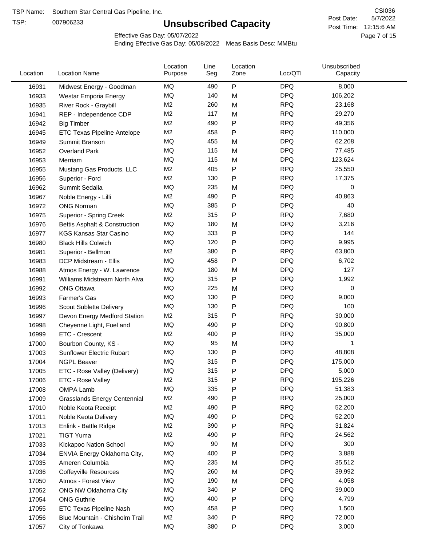TSP:

# **Unsubscribed Capacity**

5/7/2022 Page 7 of 15 Post Time: 12:15:6 AM CSI036 Post Date:

Effective Gas Day: 05/07/2022

| Location | <b>Location Name</b>                     | Location<br>Purpose | Line<br>Seg | Location<br>Zone | Loc/QTI    | Unsubscribed<br>Capacity |  |
|----------|------------------------------------------|---------------------|-------------|------------------|------------|--------------------------|--|
| 16931    | Midwest Energy - Goodman                 | MQ                  | 490         | P                | <b>DPQ</b> | 8,000                    |  |
| 16933    | Westar Emporia Energy                    | MQ                  | 140         | M                | <b>DPQ</b> | 106,202                  |  |
| 16935    | River Rock - Graybill                    | M <sub>2</sub>      | 260         | M                | <b>RPQ</b> | 23,168                   |  |
| 16941    | REP - Independence CDP                   | M <sub>2</sub>      | 117         | M                | <b>RPQ</b> | 29,270                   |  |
| 16942    | <b>Big Timber</b>                        | M <sub>2</sub>      | 490         | P                | <b>RPQ</b> | 49,356                   |  |
| 16945    | <b>ETC Texas Pipeline Antelope</b>       | M <sub>2</sub>      | 458         | Ρ                | <b>RPQ</b> | 110,000                  |  |
| 16949    | Summit Branson                           | MQ                  | 455         | M                | <b>DPQ</b> | 62,208                   |  |
| 16952    | <b>Overland Park</b>                     | MQ                  | 115         | M                | <b>DPQ</b> | 77,485                   |  |
| 16953    | Merriam                                  | MQ                  | 115         | M                | <b>DPQ</b> | 123,624                  |  |
| 16955    | Mustang Gas Products, LLC                | M <sub>2</sub>      | 405         | $\mathsf{P}$     | <b>RPQ</b> | 25,550                   |  |
| 16956    | Superior - Ford                          | M <sub>2</sub>      | 130         | P                | <b>RPQ</b> | 17,375                   |  |
| 16962    | Summit Sedalia                           | MQ                  | 235         | M                | <b>DPQ</b> | 0                        |  |
| 16967    | Noble Energy - Lilli                     | M <sub>2</sub>      | 490         | P                | <b>RPQ</b> | 40,863                   |  |
| 16972    | <b>ONG Norman</b>                        | <b>MQ</b>           | 385         | Ρ                | <b>DPQ</b> | 40                       |  |
| 16975    | Superior - Spring Creek                  | M2                  | 315         | Ρ                | <b>RPQ</b> | 7,680                    |  |
| 16976    | <b>Bettis Asphalt &amp; Construction</b> | MQ                  | 180         | M                | <b>DPQ</b> | 3,216                    |  |
| 16977    | <b>KGS Kansas Star Casino</b>            | MQ                  | 333         | Ρ                | <b>DPQ</b> | 144                      |  |
| 16980    | <b>Black Hills Colwich</b>               | MQ                  | 120         | Ρ                | <b>DPQ</b> | 9,995                    |  |
| 16981    | Superior - Bellmon                       | M <sub>2</sub>      | 380         | P                | <b>RPQ</b> | 63,800                   |  |
| 16983    | DCP Midstream - Ellis                    | MQ                  | 458         | $\mathsf{P}$     | <b>DPQ</b> | 6,702                    |  |
| 16988    | Atmos Energy - W. Lawrence               | MQ                  | 180         | M                | <b>DPQ</b> | 127                      |  |
| 16991    | Williams Midstream North Alva            | MQ                  | 315         | Ρ                | <b>DPQ</b> | 1,992                    |  |
| 16992    | <b>ONG Ottawa</b>                        | <b>MQ</b>           | 225         | M                | <b>DPQ</b> | 0                        |  |
| 16993    | Farmer's Gas                             | MQ                  | 130         | Ρ                | <b>DPQ</b> | 9,000                    |  |
| 16996    | Scout Sublette Delivery                  | MQ                  | 130         | Ρ                | <b>DPQ</b> | 100                      |  |
| 16997    | Devon Energy Medford Station             | M <sub>2</sub>      | 315         | Ρ                | <b>RPQ</b> | 30,000                   |  |
| 16998    | Cheyenne Light, Fuel and                 | MQ                  | 490         | Ρ                | <b>DPQ</b> | 90,800                   |  |
| 16999    | ETC - Crescent                           | M <sub>2</sub>      | 400         | $\mathsf{P}$     | <b>RPQ</b> | 35,000                   |  |
| 17000    | Bourbon County, KS -                     | MQ                  | 95          | M                | <b>DPQ</b> | 1                        |  |
| 17003    | Sunflower Electric Rubart                | MQ                  | 130         | Ρ                | <b>DPQ</b> | 48,808                   |  |
| 17004    | <b>NGPL Beaver</b>                       | MQ                  | 315         | Ρ                | <b>DPQ</b> | 175,000                  |  |
| 17005    | ETC - Rose Valley (Delivery)             | MQ                  | 315         | P                | <b>DPQ</b> | 5,000                    |  |
| 17006    | ETC - Rose Valley                        | M2                  | 315         | P                | <b>RPQ</b> | 195,226                  |  |
| 17008    | OMPA Lamb                                | MQ                  | 335         | P                | <b>DPQ</b> | 51,383                   |  |
| 17009    | <b>Grasslands Energy Centennial</b>      | M <sub>2</sub>      | 490         | Ρ                | <b>RPQ</b> | 25,000                   |  |
| 17010    | Noble Keota Receipt                      | M <sub>2</sub>      | 490         | Ρ                | <b>RPQ</b> | 52,200                   |  |
| 17011    | Noble Keota Delivery                     | MQ                  | 490         | Ρ                | <b>DPQ</b> | 52,200                   |  |
| 17013    | Enlink - Battle Ridge                    | M2                  | 390         | Ρ                | <b>RPQ</b> | 31,824                   |  |
| 17021    | <b>TIGT Yuma</b>                         | M <sub>2</sub>      | 490         | Ρ                | <b>RPQ</b> | 24,562                   |  |
| 17033    | Kickapoo Nation School                   | MQ                  | 90          | M                | <b>DPQ</b> | 300                      |  |
| 17034    | ENVIA Energy Oklahoma City,              | MQ                  | 400         | P                | <b>DPQ</b> | 3,888                    |  |
| 17035    | Ameren Columbia                          | MQ                  | 235         | M                | <b>DPQ</b> | 35,512                   |  |
| 17036    | <b>Coffeyville Resources</b>             | MQ                  | 260         | M                | <b>DPQ</b> | 39,992                   |  |
| 17050    | Atmos - Forest View                      | MQ                  | 190         | M                | <b>DPQ</b> | 4,058                    |  |
| 17052    | ONG NW Oklahoma City                     | MQ                  | 340         | Ρ                | <b>DPQ</b> | 39,000                   |  |
| 17054    | <b>ONG Guthrie</b>                       | MQ                  | 400         | Ρ                | <b>DPQ</b> | 4,799                    |  |
| 17055    | <b>ETC Texas Pipeline Nash</b>           | MQ                  | 458         | Ρ                | <b>DPQ</b> | 1,500                    |  |
| 17056    | Blue Mountain - Chisholm Trail           | M <sub>2</sub>      | 340         | Ρ                | <b>RPQ</b> | 72,000                   |  |
| 17057    | City of Tonkawa                          | MQ                  | 380         | P                | <b>DPQ</b> | 3,000                    |  |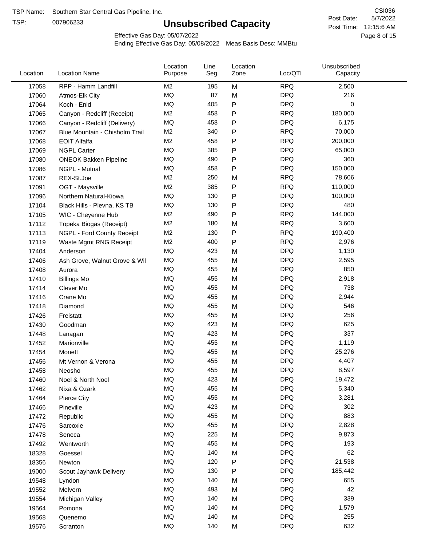TSP:

# **Unsubscribed Capacity**

5/7/2022 Page 8 of 15 Post Time: 12:15:6 AM CSI036 Post Date:

Effective Gas Day: 05/07/2022

| Location | <b>Location Name</b>           | Location<br>Purpose | Line<br>Seg | Location<br>Zone | Loc/QTI    | Unsubscribed<br>Capacity |  |
|----------|--------------------------------|---------------------|-------------|------------------|------------|--------------------------|--|
| 17058    | RPP - Hamm Landfill            | M <sub>2</sub>      | 195         | M                | <b>RPQ</b> | 2,500                    |  |
| 17060    | Atmos-Elk City                 | MQ                  | 87          | M                | <b>DPQ</b> | 216                      |  |
| 17064    | Koch - Enid                    | MQ                  | 405         | P                | <b>DPQ</b> | 0                        |  |
| 17065    | Canyon - Redcliff (Receipt)    | M <sub>2</sub>      | 458         | P                | <b>RPQ</b> | 180,000                  |  |
| 17066    | Canyon - Redcliff (Delivery)   | MQ                  | 458         | P                | <b>DPQ</b> | 6,175                    |  |
| 17067    | Blue Mountain - Chisholm Trail | M <sub>2</sub>      | 340         | P                | <b>RPQ</b> | 70,000                   |  |
| 17068    | <b>EOIT Alfalfa</b>            | M <sub>2</sub>      | 458         | P                | <b>RPQ</b> | 200,000                  |  |
| 17069    | <b>NGPL Carter</b>             | <b>MQ</b>           | 385         | $\mathsf{P}$     | <b>DPQ</b> | 65,000                   |  |
| 17080    | <b>ONEOK Bakken Pipeline</b>   | MQ                  | 490         | P                | <b>DPQ</b> | 360                      |  |
| 17086    | NGPL - Mutual                  | MQ                  | 458         | ${\sf P}$        | <b>DPQ</b> | 150,000                  |  |
| 17087    | REX-St.Joe                     | M <sub>2</sub>      | 250         | M                | <b>RPQ</b> | 78,606                   |  |
| 17091    | OGT - Maysville                | M <sub>2</sub>      | 385         | P                | <b>RPQ</b> | 110,000                  |  |
| 17096    | Northern Natural-Kiowa         | <b>MQ</b>           | 130         | P                | <b>DPQ</b> | 100,000                  |  |
| 17104    | Black Hills - Plevna, KS TB    | MQ                  | 130         | P                | <b>DPQ</b> | 480                      |  |
| 17105    | WIC - Cheyenne Hub             | M <sub>2</sub>      | 490         | P                | <b>RPQ</b> | 144,000                  |  |
| 17112    | Topeka Biogas (Receipt)        | M <sub>2</sub>      | 180         | M                | <b>RPQ</b> | 3,600                    |  |
| 17113    | NGPL - Ford County Receipt     | M <sub>2</sub>      | 130         | P                | <b>RPQ</b> | 190,400                  |  |
| 17119    | Waste Mgmt RNG Receipt         | M <sub>2</sub>      | 400         | $\mathsf{P}$     | <b>RPQ</b> | 2,976                    |  |
| 17404    | Anderson                       | MQ                  | 423         | M                | <b>DPQ</b> | 1,130                    |  |
| 17406    | Ash Grove, Walnut Grove & Wil  | MQ                  | 455         | M                | <b>DPQ</b> | 2,595                    |  |
| 17408    | Aurora                         | MQ                  | 455         | M                | <b>DPQ</b> | 850                      |  |
| 17410    | <b>Billings Mo</b>             | <b>MQ</b>           | 455         | M                | <b>DPQ</b> | 2,918                    |  |
| 17414    | Clever Mo                      | <b>MQ</b>           | 455         | M                | <b>DPQ</b> | 738                      |  |
| 17416    | Crane Mo                       | <b>MQ</b>           | 455         | M                | <b>DPQ</b> | 2,944                    |  |
| 17418    | Diamond                        | <b>MQ</b>           | 455         | M                | <b>DPQ</b> | 546                      |  |
| 17426    | Freistatt                      | MQ                  | 455         | M                | <b>DPQ</b> | 256                      |  |
| 17430    | Goodman                        | <b>MQ</b>           | 423         | M                | <b>DPQ</b> | 625                      |  |
| 17448    | Lanagan                        | <b>MQ</b>           | 423         | M                | <b>DPQ</b> | 337                      |  |
| 17452    | Marionville                    | MQ                  | 455         | M                | <b>DPQ</b> | 1,119                    |  |
| 17454    | Monett                         | MQ                  | 455         | M                | <b>DPQ</b> | 25,276                   |  |
| 17456    | Mt Vernon & Verona             | MQ                  | 455         | M                | <b>DPQ</b> | 4,407                    |  |
| 17458    | Neosho                         | MQ                  | 455         | M                | <b>DPQ</b> | 8,597                    |  |
| 17460    | Noel & North Noel              | MQ                  | 423         | M                | <b>DPQ</b> | 19,472                   |  |
| 17462    | Nixa & Ozark                   | $\sf{MQ}$           | 455         | M                | <b>DPQ</b> | 5,340                    |  |
| 17464    | Pierce City                    | MQ                  | 455         | M                | <b>DPQ</b> | 3,281                    |  |
| 17466    | Pineville                      | MQ                  | 423         | M                | <b>DPQ</b> | 302                      |  |
| 17472    | Republic                       | MQ                  | 455         | M                | <b>DPQ</b> | 883                      |  |
| 17476    | Sarcoxie                       | MQ                  | 455         | M                | <b>DPQ</b> | 2,828                    |  |
| 17478    | Seneca                         | MQ                  | 225         | M                | <b>DPQ</b> | 9,873                    |  |
| 17492    | Wentworth                      | MQ                  | 455         | M                | <b>DPQ</b> | 193                      |  |
| 18328    | Goessel                        | MQ                  | 140         | M                | <b>DPQ</b> | 62                       |  |
| 18356    | Newton                         | MQ                  | 120         | P                | <b>DPQ</b> | 21,538                   |  |
| 19000    | Scout Jayhawk Delivery         | MQ                  | 130         | P                | <b>DPQ</b> | 185,442                  |  |
| 19548    | Lyndon                         | MQ                  | 140         | M                | <b>DPQ</b> | 655                      |  |
| 19552    | Melvern                        | MQ                  | 493         | M                | <b>DPQ</b> | 42                       |  |
| 19554    | Michigan Valley                | MQ                  | 140         | M                | <b>DPQ</b> | 339                      |  |
| 19564    | Pomona                         | MQ                  | 140         | M                | <b>DPQ</b> | 1,579                    |  |
| 19568    | Quenemo                        | MQ                  | 140         | M                | <b>DPQ</b> | 255                      |  |
| 19576    | Scranton                       | MQ                  | 140         | M                | <b>DPQ</b> | 632                      |  |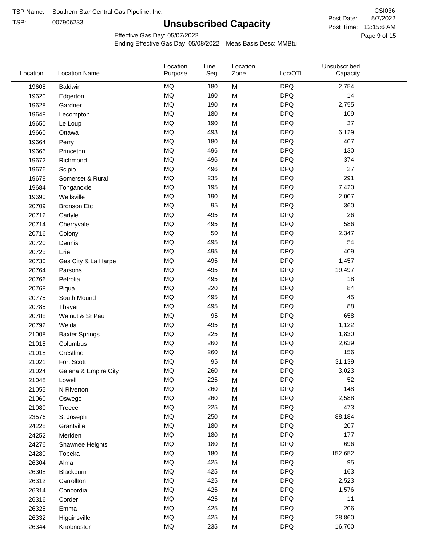TSP:

# **Unsubscribed Capacity**

5/7/2022 Page 9 of 15 Post Time: 12:15:6 AM CSI036 Post Date:

Effective Gas Day: 05/07/2022

| Location | <b>Location Name</b>  | Location<br>Purpose | Line<br>Seg | Location<br>Zone | Loc/QTI    | Unsubscribed<br>Capacity |  |
|----------|-----------------------|---------------------|-------------|------------------|------------|--------------------------|--|
| 19608    | <b>Baldwin</b>        | <b>MQ</b>           | 180         | M                | <b>DPQ</b> | 2,754                    |  |
| 19620    | Edgerton              | MQ                  | 190         | M                | <b>DPQ</b> | 14                       |  |
| 19628    | Gardner               | <b>MQ</b>           | 190         | M                | <b>DPQ</b> | 2,755                    |  |
| 19648    | Lecompton             | <b>MQ</b>           | 180         | M                | <b>DPQ</b> | 109                      |  |
| 19650    | Le Loup               | <b>MQ</b>           | 190         | M                | <b>DPQ</b> | 37                       |  |
| 19660    | Ottawa                | <b>MQ</b>           | 493         | M                | <b>DPQ</b> | 6,129                    |  |
| 19664    | Perry                 | MQ                  | 180         | M                | <b>DPQ</b> | 407                      |  |
| 19666    | Princeton             | MQ                  | 496         | M                | <b>DPQ</b> | 130                      |  |
| 19672    | Richmond              | MQ                  | 496         | M                | <b>DPQ</b> | 374                      |  |
| 19676    | Scipio                | <b>MQ</b>           | 496         | M                | <b>DPQ</b> | 27                       |  |
| 19678    | Somerset & Rural      | MQ                  | 235         | M                | <b>DPQ</b> | 291                      |  |
| 19684    | Tonganoxie            | <b>MQ</b>           | 195         | M                | <b>DPQ</b> | 7,420                    |  |
| 19690    | Wellsville            | <b>MQ</b>           | 190         | M                | <b>DPQ</b> | 2,007                    |  |
| 20709    | <b>Bronson Etc</b>    | <b>MQ</b>           | 95          | M                | <b>DPQ</b> | 360                      |  |
| 20712    | Carlyle               | MQ                  | 495         | M                | <b>DPQ</b> | 26                       |  |
| 20714    | Cherryvale            | MQ                  | 495         | M                | <b>DPQ</b> | 586                      |  |
| 20716    | Colony                | MQ                  | 50          | M                | <b>DPQ</b> | 2,347                    |  |
| 20720    | Dennis                | <b>MQ</b>           | 495         | M                | <b>DPQ</b> | 54                       |  |
| 20725    | Erie                  | <b>MQ</b>           | 495         | M                | <b>DPQ</b> | 409                      |  |
| 20730    | Gas City & La Harpe   | MQ                  | 495         | M                | <b>DPQ</b> | 1,457                    |  |
| 20764    | Parsons               | <b>MQ</b>           | 495         | M                | <b>DPQ</b> | 19,497                   |  |
| 20766    | Petrolia              | <b>MQ</b>           | 495         | M                | <b>DPQ</b> | 18                       |  |
| 20768    | Piqua                 | <b>MQ</b>           | 220         | M                | <b>DPQ</b> | 84                       |  |
| 20775    | South Mound           | MQ                  | 495         | M                | <b>DPQ</b> | 45                       |  |
| 20785    | Thayer                | MQ                  | 495         | M                | <b>DPQ</b> | 88                       |  |
| 20788    | Walnut & St Paul      | MQ                  | 95          | M                | <b>DPQ</b> | 658                      |  |
| 20792    | Welda                 | <b>MQ</b>           | 495         | M                | <b>DPQ</b> | 1,122                    |  |
| 21008    | <b>Baxter Springs</b> | MQ                  | 225         | M                | <b>DPQ</b> | 1,830                    |  |
| 21015    | Columbus              | MQ                  | 260         | M                | <b>DPQ</b> | 2,639                    |  |
| 21018    | Crestline             | <b>MQ</b>           | 260         | M                | <b>DPQ</b> | 156                      |  |
| 21021    | Fort Scott            | <b>MQ</b>           | 95          | M                | <b>DPQ</b> | 31,139                   |  |
| 21024    | Galena & Empire City  | MQ                  | 260         | M                | <b>DPQ</b> | 3,023                    |  |
| 21048    | Lowell                | MQ                  | 225         | M                | <b>DPQ</b> | 52                       |  |
| 21055    | N Riverton            | $\sf{MQ}$           | 260         | M                | <b>DPQ</b> | 148                      |  |
| 21060    | Oswego                | $\sf{MQ}$           | 260         | M                | <b>DPQ</b> | 2,588                    |  |
| 21080    | Treece                | MQ                  | 225         | M                | <b>DPQ</b> | 473                      |  |
| 23576    | St Joseph             | MQ                  | 250         | M                | <b>DPQ</b> | 88,184                   |  |
| 24228    | Grantville            | MQ                  | 180         | M                | <b>DPQ</b> | 207                      |  |
| 24252    | Meriden               | $\sf{MQ}$           | 180         | M                | <b>DPQ</b> | 177                      |  |
| 24276    | Shawnee Heights       | $\sf{MQ}$           | 180         | M                | <b>DPQ</b> | 696                      |  |
| 24280    | Topeka                | MQ                  | 180         | M                | <b>DPQ</b> | 152,652                  |  |
| 26304    | Alma                  | MQ                  | 425         | M                | <b>DPQ</b> | 95                       |  |
| 26308    | Blackburn             | MQ                  | 425         | M                | <b>DPQ</b> | 163                      |  |
| 26312    | Carrollton            | <b>MQ</b>           | 425         | M                | <b>DPQ</b> | 2,523                    |  |
| 26314    | Concordia             | $\sf{MQ}$           | 425         | M                | <b>DPQ</b> | 1,576                    |  |
| 26316    | Corder                | MQ                  | 425         | M                | <b>DPQ</b> | 11                       |  |
| 26325    | Emma                  | MQ                  | 425         | M                | <b>DPQ</b> | 206                      |  |
| 26332    | Higginsville          | $\sf{MQ}$           | 425         | M                | <b>DPQ</b> | 28,860                   |  |
| 26344    | Knobnoster            | $\sf{MQ}$           | 235         | M                | <b>DPQ</b> | 16,700                   |  |
|          |                       |                     |             |                  |            |                          |  |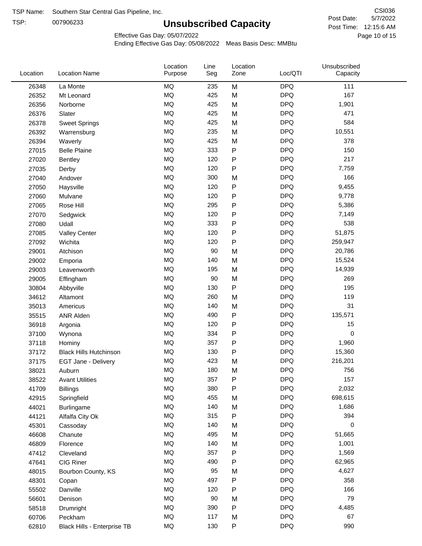TSP:

# **Unsubscribed Capacity**

5/7/2022 Page 10 of 15 Post Time: 12:15:6 AM CSI036 Post Date:

Unsubscribed

Effective Gas Day: 05/07/2022

Location

Ending Effective Gas Day: 05/08/2022 Meas Basis Desc: MMBtu

Line

Location

| Location | <b>Location Name</b>          | Purpose   | Seg | Zone         | Loc/QTI    | Capacity |  |
|----------|-------------------------------|-----------|-----|--------------|------------|----------|--|
| 26348    | La Monte                      | <b>MQ</b> | 235 | M            | <b>DPQ</b> | 111      |  |
| 26352    | Mt Leonard                    | MQ        | 425 | M            | <b>DPQ</b> | 167      |  |
| 26356    | Norborne                      | <b>MQ</b> | 425 | M            | <b>DPQ</b> | 1,901    |  |
| 26376    | Slater                        | <b>MQ</b> | 425 | M            | <b>DPQ</b> | 471      |  |
| 26378    | <b>Sweet Springs</b>          | <b>MQ</b> | 425 | M            | <b>DPQ</b> | 584      |  |
| 26392    | Warrensburg                   | <b>MQ</b> | 235 | M            | <b>DPQ</b> | 10,551   |  |
| 26394    | Waverly                       | <b>MQ</b> | 425 | M            | <b>DPQ</b> | 378      |  |
| 27015    | <b>Belle Plaine</b>           | MQ        | 333 | ${\sf P}$    | <b>DPQ</b> | 150      |  |
| 27020    | Bentley                       | <b>MQ</b> | 120 | $\mathsf{P}$ | <b>DPQ</b> | 217      |  |
| 27035    | Derby                         | <b>MQ</b> | 120 | ${\sf P}$    | <b>DPQ</b> | 7,759    |  |
| 27040    | Andover                       | MQ        | 300 | M            | <b>DPQ</b> | 166      |  |
| 27050    | Haysville                     | <b>MQ</b> | 120 | ${\sf P}$    | <b>DPQ</b> | 9,455    |  |
| 27060    | Mulvane                       | <b>MQ</b> | 120 | ${\sf P}$    | <b>DPQ</b> | 9,778    |  |
| 27065    | Rose Hill                     | <b>MQ</b> | 295 | ${\sf P}$    | <b>DPQ</b> | 5,386    |  |
| 27070    | Sedgwick                      | <b>MQ</b> | 120 | ${\sf P}$    | <b>DPQ</b> | 7,149    |  |
| 27080    | Udall                         | MQ        | 333 | $\mathsf{P}$ | <b>DPQ</b> | 538      |  |
| 27085    | <b>Valley Center</b>          | MQ        | 120 | ${\sf P}$    | <b>DPQ</b> | 51,875   |  |
| 27092    | Wichita                       | <b>MQ</b> | 120 | $\mathsf{P}$ | <b>DPQ</b> | 259,947  |  |
| 29001    | Atchison                      | <b>MQ</b> | 90  | M            | <b>DPQ</b> | 20,786   |  |
| 29002    | Emporia                       | MQ        | 140 | M            | <b>DPQ</b> | 15,524   |  |
| 29003    | Leavenworth                   | MQ        | 195 | M            | <b>DPQ</b> | 14,939   |  |
| 29005    | Effingham                     | <b>MQ</b> | 90  | M            | <b>DPQ</b> | 269      |  |
| 30804    | Abbyville                     | <b>MQ</b> | 130 | ${\sf P}$    | <b>DPQ</b> | 195      |  |
| 34612    | Altamont                      | <b>MQ</b> | 260 | M            | <b>DPQ</b> | 119      |  |
| 35013    | Americus                      | MQ        | 140 | M            | <b>DPQ</b> | 31       |  |
| 35515    | <b>ANR Alden</b>              | MQ        | 490 | $\mathsf{P}$ | <b>DPQ</b> | 135,571  |  |
| 36918    | Argonia                       | <b>MQ</b> | 120 | $\mathsf{P}$ | <b>DPQ</b> | 15       |  |
| 37100    | Wynona                        | <b>MQ</b> | 334 | ${\sf P}$    | <b>DPQ</b> | 0        |  |
| 37118    | Hominy                        | <b>MQ</b> | 357 | ${\sf P}$    | <b>DPQ</b> | 1,960    |  |
| 37172    | <b>Black Hills Hutchinson</b> | <b>MQ</b> | 130 | $\mathsf{P}$ | <b>DPQ</b> | 15,360   |  |
| 37175    | EGT Jane - Delivery           | <b>MQ</b> | 423 | M            | <b>DPQ</b> | 216,201  |  |
| 38021    | Auburn                        | <b>MQ</b> | 180 | M            | <b>DPQ</b> | 756      |  |
| 38522    | <b>Avant Utilities</b>        | $\sf{MQ}$ | 357 | ${\sf P}$    | <b>DPQ</b> | 157      |  |
| 41709    | <b>Billings</b>               | MQ        | 380 | $\mathsf{P}$ | <b>DPQ</b> | 2,032    |  |
| 42915    | Springfield                   | MQ        | 455 | M            | <b>DPQ</b> | 698,615  |  |
| 44021    | <b>Burlingame</b>             | MQ        | 140 | M            | <b>DPQ</b> | 1,686    |  |
| 44121    | Alfalfa City Ok               | MQ        | 315 | ${\sf P}$    | <b>DPQ</b> | 394      |  |
| 45301    | Cassoday                      | MQ        | 140 | M            | <b>DPQ</b> | 0        |  |
| 46608    | Chanute                       | $\sf{MQ}$ | 495 | M            | <b>DPQ</b> | 51,665   |  |
| 46809    | Florence                      | MQ        | 140 | M            | <b>DPQ</b> | 1,001    |  |
| 47412    | Cleveland                     | MQ        | 357 | ${\sf P}$    | <b>DPQ</b> | 1,569    |  |
| 47641    | CIG Riner                     | <b>MQ</b> | 490 | P            | <b>DPQ</b> | 62,965   |  |
| 48015    | Bourbon County, KS            | <b>MQ</b> | 95  | M            | <b>DPQ</b> | 4,627    |  |
| 48301    | Copan                         | <b>MQ</b> | 497 | ${\sf P}$    | <b>DPQ</b> | 358      |  |
| 55502    | Danville                      | MQ        | 120 | ${\sf P}$    | <b>DPQ</b> | 166      |  |
| 56601    | Denison                       | MQ        | 90  | M            | <b>DPQ</b> | 79       |  |
| 58518    | Drumright                     | MQ        | 390 | ${\sf P}$    | <b>DPQ</b> | 4,485    |  |
| 60706    | Peckham                       | $\sf{MQ}$ | 117 | M            | <b>DPQ</b> | 67       |  |
| 62810    | Black Hills - Enterprise TB   | $\sf{MQ}$ | 130 | ${\sf P}$    | <b>DPQ</b> | 990      |  |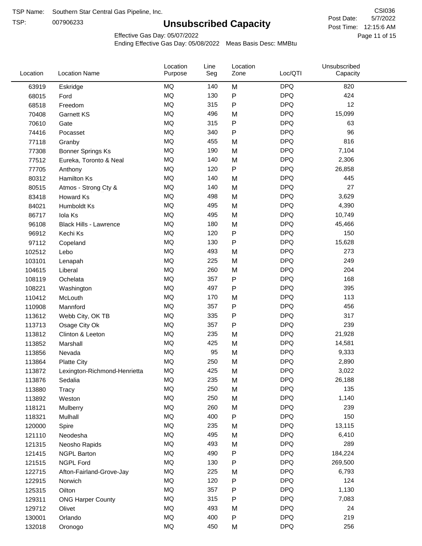TSP:

# **Unsubscribed Capacity**

5/7/2022 Page 11 of 15 Post Time: 12:15:6 AM CSI036 Post Date:

Effective Gas Day: 05/07/2022

| Location | <b>Location Name</b>          | Location<br>Purpose | Line<br>Seg | Location<br>Zone | Loc/QTI    | Unsubscribed<br>Capacity |  |
|----------|-------------------------------|---------------------|-------------|------------------|------------|--------------------------|--|
| 63919    | Eskridge                      | <b>MQ</b>           | 140         | M                | <b>DPQ</b> | 820                      |  |
| 68015    | Ford                          | MQ                  | 130         | P                | <b>DPQ</b> | 424                      |  |
| 68518    | Freedom                       | <b>MQ</b>           | 315         | P                | <b>DPQ</b> | 12                       |  |
| 70408    | Garnett KS                    | <b>MQ</b>           | 496         | M                | <b>DPQ</b> | 15,099                   |  |
| 70610    | Gate                          | MQ                  | 315         | P                | <b>DPQ</b> | 63                       |  |
| 74416    | Pocasset                      | <b>MQ</b>           | 340         | P                | <b>DPQ</b> | 96                       |  |
| 77118    | Granby                        | MQ                  | 455         | M                | <b>DPQ</b> | 816                      |  |
| 77308    | <b>Bonner Springs Ks</b>      | <b>MQ</b>           | 190         | M                | <b>DPQ</b> | 7,104                    |  |
| 77512    | Eureka, Toronto & Neal        | MQ                  | 140         | M                | <b>DPQ</b> | 2,306                    |  |
| 77705    | Anthony                       | <b>MQ</b>           | 120         | P                | <b>DPQ</b> | 26,858                   |  |
| 80312    | <b>Hamilton Ks</b>            | MQ                  | 140         | M                | <b>DPQ</b> | 445                      |  |
| 80515    | Atmos - Strong Cty &          | MQ                  | 140         | M                | <b>DPQ</b> | 27                       |  |
| 83418    | <b>Howard Ks</b>              | <b>MQ</b>           | 498         | M                | <b>DPQ</b> | 3,629                    |  |
| 84021    | Humboldt Ks                   | <b>MQ</b>           | 495         | M                | <b>DPQ</b> | 4,390                    |  |
| 86717    | Iola Ks                       | MQ                  | 495         | M                | <b>DPQ</b> | 10,749                   |  |
| 96108    | <b>Black Hills - Lawrence</b> | MQ                  | 180         | M                | <b>DPQ</b> | 45,466                   |  |
| 96912    | Kechi Ks                      | MQ                  | 120         | P                | <b>DPQ</b> | 150                      |  |
| 97112    | Copeland                      | <b>MQ</b>           | 130         | P                | <b>DPQ</b> | 15,628                   |  |
| 102512   | Lebo                          | MQ                  | 493         | M                | <b>DPQ</b> | 273                      |  |
| 103101   | Lenapah                       | MQ                  | 225         | M                | <b>DPQ</b> | 249                      |  |
| 104615   | Liberal                       | MQ                  | 260         | M                | <b>DPQ</b> | 204                      |  |
| 108119   | Ochelata                      | <b>MQ</b>           | 357         | P                | <b>DPQ</b> | 168                      |  |
| 108221   | Washington                    | MQ                  | 497         | P                | <b>DPQ</b> | 395                      |  |
| 110412   | McLouth                       | <b>MQ</b>           | 170         | M                | <b>DPQ</b> | 113                      |  |
| 110908   | Mannford                      | MQ                  | 357         | P                | <b>DPQ</b> | 456                      |  |
| 113612   | Webb City, OK TB              | MQ                  | 335         | P                | <b>DPQ</b> | 317                      |  |
| 113713   | Osage City Ok                 | <b>MQ</b>           | 357         | P                | <b>DPQ</b> | 239                      |  |
| 113812   | Clinton & Leeton              | MQ                  | 235         | M                | <b>DPQ</b> | 21,928                   |  |
| 113852   | Marshall                      | <b>MQ</b>           | 425         | M                | <b>DPQ</b> | 14,581                   |  |
| 113856   | Nevada                        | <b>MQ</b>           | 95          | M                | <b>DPQ</b> | 9,333                    |  |
| 113864   | <b>Platte City</b>            | <b>MQ</b>           | 250         | M                | <b>DPQ</b> | 2,890                    |  |
| 113872   | Lexington-Richmond-Henrietta  | <b>MQ</b>           | 425         | M                | <b>DPQ</b> | 3,022                    |  |
| 113876   | Sedalia                       | MQ                  | 235         | M                | <b>DPQ</b> | 26,188                   |  |
| 113880   | Tracy                         | $\sf{MQ}$           | 250         | M                | <b>DPQ</b> | 135                      |  |
| 113892   | Weston                        | MQ                  | 250         | M                | <b>DPQ</b> | 1,140                    |  |
| 118121   | Mulberry                      | MQ                  | 260         | M                | <b>DPQ</b> | 239                      |  |
| 118321   | Mulhall                       | MQ                  | 400         | P                | <b>DPQ</b> | 150                      |  |
| 120000   | Spire                         | MQ                  | 235         | M                | <b>DPQ</b> | 13,115                   |  |
| 121110   | Neodesha                      | MQ                  | 495         | M                | <b>DPQ</b> | 6,410                    |  |
| 121315   | Neosho Rapids                 | $\sf{MQ}$           | 493         | M                | <b>DPQ</b> | 289                      |  |
| 121415   | <b>NGPL Barton</b>            | MQ                  | 490         | Ρ                | <b>DPQ</b> | 184,224                  |  |
| 121515   | NGPL Ford                     | MQ                  | 130         | P                | <b>DPQ</b> | 269,500                  |  |
| 122715   | Afton-Fairland-Grove-Jay      | MQ                  | 225         | M                | <b>DPQ</b> | 6,793                    |  |
| 122915   | Norwich                       | MQ                  | 120         | Ρ                | <b>DPQ</b> | 124                      |  |
| 125315   | Oilton                        | MQ                  | 357         | Ρ                | <b>DPQ</b> | 1,130                    |  |
| 129311   | <b>ONG Harper County</b>      | MQ                  | 315         | Ρ                | <b>DPQ</b> | 7,083                    |  |
| 129712   | Olivet                        | MQ                  | 493         | M                | <b>DPQ</b> | 24                       |  |
| 130001   | Orlando                       | MQ                  | 400         | Ρ                | <b>DPQ</b> | 219                      |  |
| 132018   | Oronogo                       | $\sf{MQ}$           | 450         | M                | <b>DPQ</b> | 256                      |  |
|          |                               |                     |             |                  |            |                          |  |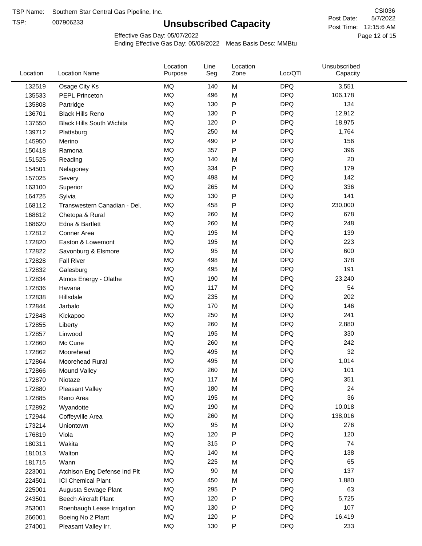TSP:

# **Unsubscribed Capacity**

5/7/2022 Page 12 of 15 Post Time: 12:15:6 AM CSI036 Post Date:

Effective Gas Day: 05/07/2022

| Location | <b>Location Name</b>             | Location<br>Purpose | Line<br>Seg | Location<br>Zone | Loc/QTI    | Unsubscribed<br>Capacity |  |
|----------|----------------------------------|---------------------|-------------|------------------|------------|--------------------------|--|
| 132519   | Osage City Ks                    | MQ                  | 140         | M                | <b>DPQ</b> | 3,551                    |  |
| 135533   | <b>PEPL Princeton</b>            | MQ                  | 496         | M                | <b>DPQ</b> | 106,178                  |  |
| 135808   | Partridge                        | MQ                  | 130         | P                | <b>DPQ</b> | 134                      |  |
| 136701   | <b>Black Hills Reno</b>          | <b>MQ</b>           | 130         | P                | <b>DPQ</b> | 12,912                   |  |
| 137550   | <b>Black Hills South Wichita</b> | <b>MQ</b>           | 120         | Ρ                | <b>DPQ</b> | 18,975                   |  |
| 139712   | Plattsburg                       | <b>MQ</b>           | 250         | M                | <b>DPQ</b> | 1,764                    |  |
| 145950   | Merino                           | <b>MQ</b>           | 490         | Ρ                | <b>DPQ</b> | 156                      |  |
| 150418   | Ramona                           | <b>MQ</b>           | 357         | P                | <b>DPQ</b> | 396                      |  |
| 151525   | Reading                          | MQ                  | 140         | M                | <b>DPQ</b> | 20                       |  |
| 154501   | Nelagoney                        | <b>MQ</b>           | 334         | $\mathsf{P}$     | <b>DPQ</b> | 179                      |  |
| 157025   | Severy                           | <b>MQ</b>           | 498         | M                | <b>DPQ</b> | 142                      |  |
| 163100   | Superior                         | <b>MQ</b>           | 265         | M                | <b>DPQ</b> | 336                      |  |
| 164725   | Sylvia                           | <b>MQ</b>           | 130         | P                | <b>DPQ</b> | 141                      |  |
| 168112   | Transwestern Canadian - Del.     | <b>MQ</b>           | 458         | Ρ                | <b>DPQ</b> | 230,000                  |  |
| 168612   | Chetopa & Rural                  | <b>MQ</b>           | 260         | M                | <b>DPQ</b> | 678                      |  |
| 168620   | Edna & Bartlett                  | <b>MQ</b>           | 260         | M                | <b>DPQ</b> | 248                      |  |
| 172812   | Conner Area                      | MQ                  | 195         | M                | <b>DPQ</b> | 139                      |  |
| 172820   | Easton & Lowemont                | MQ                  | 195         | M                | <b>DPQ</b> | 223                      |  |
| 172822   | Savonburg & Elsmore              | <b>MQ</b>           | 95          | M                | <b>DPQ</b> | 600                      |  |
| 172828   | <b>Fall River</b>                | <b>MQ</b>           | 498         | M                | <b>DPQ</b> | 378                      |  |
| 172832   | Galesburg                        | <b>MQ</b>           | 495         | M                | <b>DPQ</b> | 191                      |  |
| 172834   | Atmos Energy - Olathe            | <b>MQ</b>           | 190         | M                | <b>DPQ</b> | 23,240                   |  |
| 172836   | Havana                           | <b>MQ</b>           | 117         | M                | <b>DPQ</b> | 54                       |  |
| 172838   | Hillsdale                        | <b>MQ</b>           | 235         | M                | <b>DPQ</b> | 202                      |  |
| 172844   | Jarbalo                          | <b>MQ</b>           | 170         | M                | <b>DPQ</b> | 146                      |  |
| 172848   | Kickapoo                         | <b>MQ</b>           | 250         | M                | <b>DPQ</b> | 241                      |  |
| 172855   | Liberty                          | <b>MQ</b>           | 260         | M                | <b>DPQ</b> | 2,880                    |  |
| 172857   | Linwood                          | <b>MQ</b>           | 195         | M                | <b>DPQ</b> | 330                      |  |
| 172860   | Mc Cune                          | <b>MQ</b>           | 260         | M                | <b>DPQ</b> | 242                      |  |
| 172862   | Moorehead                        | <b>MQ</b>           | 495         | M                | <b>DPQ</b> | 32                       |  |
| 172864   | Moorehead Rural                  | <b>MQ</b>           | 495         | M                | <b>DPQ</b> | 1,014                    |  |
| 172866   | Mound Valley                     | MQ                  | 260         | M                | <b>DPQ</b> | 101                      |  |
| 172870   | Niotaze                          | MQ                  | 117         | M                | <b>DPQ</b> | 351                      |  |
| 172880   | Pleasant Valley                  | <b>MQ</b>           | 180         | M                | <b>DPQ</b> | 24                       |  |
| 172885   | Reno Area                        | MQ                  | 195         | M                | <b>DPQ</b> | 36                       |  |
| 172892   | Wyandotte                        | <b>MQ</b>           | 190         | M                | <b>DPQ</b> | 10,018                   |  |
| 172944   | Coffeyville Area                 | <b>MQ</b>           | 260         | M                | <b>DPQ</b> | 138,016                  |  |
| 173214   | Uniontown                        | <b>MQ</b>           | 95          | M                | <b>DPQ</b> | 276                      |  |
| 176819   | Viola                            | MQ                  | 120         | Ρ                | <b>DPQ</b> | 120                      |  |
| 180311   | Wakita                           | MQ                  | 315         | Ρ                | <b>DPQ</b> | 74                       |  |
| 181013   | Walton                           | MQ                  | 140         | M                | <b>DPQ</b> | 138                      |  |
| 181715   | Wann                             | MQ                  | 225         | M                | <b>DPQ</b> | 65                       |  |
| 223001   | Atchison Eng Defense Ind Plt     | <b>MQ</b>           | 90          | M                | <b>DPQ</b> | 137                      |  |
| 224501   | <b>ICI Chemical Plant</b>        | <b>MQ</b>           | 450         | M                | <b>DPQ</b> | 1,880                    |  |
| 225001   | Augusta Sewage Plant             | MQ                  | 295         | Ρ                | <b>DPQ</b> | 63                       |  |
| 243501   | <b>Beech Aircraft Plant</b>      | MQ                  | 120         | Ρ                | <b>DPQ</b> | 5,725                    |  |
| 253001   | Roenbaugh Lease Irrigation       | MQ                  | 130         | Ρ                | <b>DPQ</b> | 107                      |  |
| 266001   | Boeing No 2 Plant                | MQ                  | 120         | Ρ                | <b>DPQ</b> | 16,419                   |  |
| 274001   | Pleasant Valley Irr.             | <b>MQ</b>           | 130         | P                | <b>DPQ</b> | 233                      |  |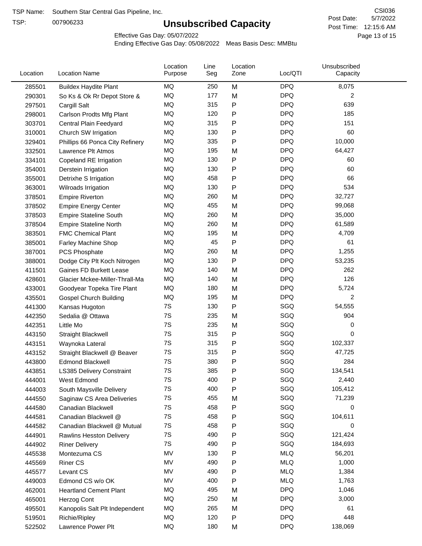TSP:

# **Unsubscribed Capacity**

5/7/2022 Page 13 of 15 Post Time: 12:15:6 AM CSI036 Post Date:

Effective Gas Day: 05/07/2022

| Location | <b>Location Name</b>            | Location<br>Purpose | Line<br>Seg | Location<br>Zone | Loc/QTI    | Unsubscribed<br>Capacity |  |
|----------|---------------------------------|---------------------|-------------|------------------|------------|--------------------------|--|
| 285501   | <b>Buildex Haydite Plant</b>    | MQ                  | 250         | M                | <b>DPQ</b> | 8,075                    |  |
| 290301   | So Ks & Ok Rr Depot Store &     | MQ                  | 177         | M                | <b>DPQ</b> | 2                        |  |
| 297501   | Cargill Salt                    | <b>MQ</b>           | 315         | Ρ                | <b>DPQ</b> | 639                      |  |
| 298001   | Carlson Prodts Mfg Plant        | <b>MQ</b>           | 120         | Ρ                | <b>DPQ</b> | 185                      |  |
| 303701   | Central Plain Feedyard          | MQ                  | 315         | Ρ                | <b>DPQ</b> | 151                      |  |
| 310001   | Church SW Irrigation            | MQ                  | 130         | Ρ                | <b>DPQ</b> | 60                       |  |
| 329401   | Phillips 66 Ponca City Refinery | MQ                  | 335         | Ρ                | <b>DPQ</b> | 10,000                   |  |
| 332501   | Lawrence Plt Atmos              | <b>MQ</b>           | 195         | M                | <b>DPQ</b> | 64,427                   |  |
| 334101   | Copeland RE Irrigation          | MQ                  | 130         | Ρ                | <b>DPQ</b> | 60                       |  |
| 354001   | Derstein Irrigation             | MQ                  | 130         | Ρ                | <b>DPQ</b> | 60                       |  |
| 355001   | Detrixhe S Irrigation           | MQ                  | 458         | Ρ                | <b>DPQ</b> | 66                       |  |
| 363001   | Wilroads Irrigation             | MQ                  | 130         | Ρ                | <b>DPQ</b> | 534                      |  |
| 378501   | <b>Empire Riverton</b>          | MQ                  | 260         | M                | <b>DPQ</b> | 32,727                   |  |
| 378502   | <b>Empire Energy Center</b>     | MQ                  | 455         | M                | <b>DPQ</b> | 99,068                   |  |
| 378503   | <b>Empire Stateline South</b>   | MQ                  | 260         | M                | <b>DPQ</b> | 35,000                   |  |
| 378504   | <b>Empire Stateline North</b>   | MQ                  | 260         | M                | <b>DPQ</b> | 61,589                   |  |
| 383501   | <b>FMC Chemical Plant</b>       | MQ                  | 195         | M                | <b>DPQ</b> | 4,709                    |  |
| 385001   | Farley Machine Shop             | <b>MQ</b>           | 45          | P                | <b>DPQ</b> | 61                       |  |
| 387001   | PCS Phosphate                   | MQ                  | 260         | M                | <b>DPQ</b> | 1,255                    |  |
| 388001   | Dodge City Plt Koch Nitrogen    | MQ                  | 130         | P                | <b>DPQ</b> | 53,235                   |  |
| 411501   | Gaines FD Burkett Lease         | MQ                  | 140         | M                | <b>DPQ</b> | 262                      |  |
| 428601   | Glacier Mckee-Miller-Thrall-Ma  | <b>MQ</b>           | 140         | M                | <b>DPQ</b> | 126                      |  |
| 433001   | Goodyear Topeka Tire Plant      | MQ                  | 180         | M                | <b>DPQ</b> | 5,724                    |  |
| 435501   | <b>Gospel Church Building</b>   | MQ                  | 195         | M                | <b>DPQ</b> | 2                        |  |
| 441300   | Kansas Hugoton                  | 7S                  | 130         | Ρ                | SGQ        | 54,555                   |  |
| 442350   | Sedalia @ Ottawa                | 7S                  | 235         | M                | SGQ        | 904                      |  |
| 442351   | Little Mo                       | 7S                  | 235         | M                | SGQ        | 0                        |  |
| 443150   | Straight Blackwell              | 7S                  | 315         | Ρ                | SGQ        | 0                        |  |
| 443151   | Waynoka Lateral                 | 7S                  | 315         | Ρ                | SGQ        | 102,337                  |  |
| 443152   | Straight Blackwell @ Beaver     | 7S                  | 315         | Ρ                | SGQ        | 47,725                   |  |
| 443800   | <b>Edmond Blackwell</b>         | 7S                  | 380         | Ρ                | SGQ        | 284                      |  |
| 443851   | LS385 Delivery Constraint       | 7S                  | 385         | Ρ                | SGQ        | 134,541                  |  |
| 444001   | West Edmond                     | 7S                  | 400         | Ρ                | SGQ        | 2,440                    |  |
| 444003   | South Maysville Delivery        | 7S                  | 400         | P                | SGQ        | 105,412                  |  |
| 444550   | Saginaw CS Area Deliveries      | 7S                  | 455         | M                | SGQ        | 71,239                   |  |
| 444580   | Canadian Blackwell              | 7S                  | 458         | P                | SGQ        | 0                        |  |
| 444581   | Canadian Blackwell @            | 7S                  | 458         | Ρ                | SGQ        | 104,611                  |  |
| 444582   | Canadian Blackwell @ Mutual     | 7S                  | 458         | Ρ                | SGQ        | 0                        |  |
| 444901   | Rawlins Hesston Delivery        | 7S                  | 490         | Ρ                | SGQ        | 121,424                  |  |
| 444902   | <b>Riner Delivery</b>           | 7S                  | 490         | Ρ                | SGQ        | 184,693                  |  |
| 445538   | Montezuma CS                    | MV                  | 130         | Ρ                | <b>MLQ</b> | 56,201                   |  |
| 445569   | <b>Riner CS</b>                 | MV                  | 490         | Ρ                | <b>MLQ</b> | 1,000                    |  |
| 445577   | Levant CS                       | MV                  | 490         | P                | <b>MLQ</b> | 1,384                    |  |
| 449003   | Edmond CS w/o OK                | MV                  | 400         | Ρ                | <b>MLQ</b> | 1,763                    |  |
| 462001   | <b>Heartland Cement Plant</b>   | MQ                  | 495         | M                | <b>DPQ</b> | 1,046                    |  |
| 465001   | Herzog Cont                     | MQ                  | 250         | M                | <b>DPQ</b> | 3,000                    |  |
| 495501   | Kanopolis Salt Plt Independent  | MQ                  | 265         | M                | <b>DPQ</b> | 61                       |  |
| 519501   | Richie/Ripley                   | MQ                  | 120         | Ρ                | <b>DPQ</b> | 448                      |  |
| 522502   | Lawrence Power Plt              | MQ                  | 180         | M                | <b>DPQ</b> | 138,069                  |  |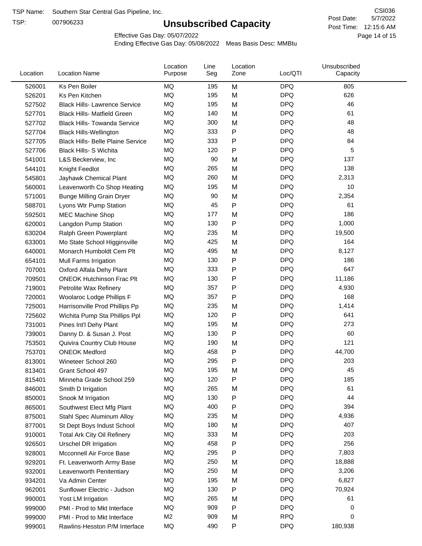TSP:

# **Unsubscribed Capacity**

5/7/2022 Page 14 of 15 Post Time: 12:15:6 AM CSI036 Post Date:

Effective Gas Day: 05/07/2022

| Location | <b>Location Name</b>                     | Location<br>Purpose | Line<br>Seg | Location<br>Zone | Loc/QTI    | Unsubscribed<br>Capacity |  |
|----------|------------------------------------------|---------------------|-------------|------------------|------------|--------------------------|--|
| 526001   | Ks Pen Boiler                            | MQ                  | 195         | M                | <b>DPQ</b> | 805                      |  |
| 526201   | Ks Pen Kitchen                           | MQ                  | 195         | M                | <b>DPQ</b> | 626                      |  |
| 527502   | <b>Black Hills- Lawrence Service</b>     | MQ                  | 195         | M                | <b>DPQ</b> | 46                       |  |
| 527701   | <b>Black Hills- Matfield Green</b>       | <b>MQ</b>           | 140         | M                | <b>DPQ</b> | 61                       |  |
| 527702   | <b>Black Hills- Towanda Service</b>      | MQ                  | 300         | M                | <b>DPQ</b> | 48                       |  |
| 527704   | <b>Black Hills-Wellington</b>            | MQ                  | 333         | P                | <b>DPQ</b> | 48                       |  |
| 527705   | <b>Black Hills- Belle Plaine Service</b> | MQ                  | 333         | P                | <b>DPQ</b> | 84                       |  |
| 527706   | <b>Black Hills- S Wichita</b>            | <b>MQ</b>           | 120         | P                | <b>DPQ</b> | 5                        |  |
| 541001   | L&S Beckerview, Inc                      | MQ                  | 90          | M                | <b>DPQ</b> | 137                      |  |
| 544101   | Knight Feedlot                           | MQ                  | 265         | M                | <b>DPQ</b> | 138                      |  |
| 545801   | Jayhawk Chemical Plant                   | MQ                  | 260         | M                | <b>DPQ</b> | 2,313                    |  |
| 560001   | Leavenworth Co Shop Heating              | <b>MQ</b>           | 195         | M                | <b>DPQ</b> | 10                       |  |
| 571001   | <b>Bunge Milling Grain Dryer</b>         | MQ                  | 90          | M                | <b>DPQ</b> | 2,354                    |  |
| 588701   | Lyons Wtr Pump Station                   | MQ                  | 45          | P                | <b>DPQ</b> | 61                       |  |
| 592501   | <b>MEC Machine Shop</b>                  | MQ                  | 177         | M                | <b>DPQ</b> | 186                      |  |
| 620001   | Langdon Pump Station                     | MQ                  | 130         | P                | <b>DPQ</b> | 1,000                    |  |
| 630204   | Ralph Green Powerplant                   | MQ                  | 235         | M                | <b>DPQ</b> | 19,500                   |  |
| 633001   | Mo State School Higginsville             | MQ                  | 425         | M                | <b>DPQ</b> | 164                      |  |
| 640001   | Monarch Humboldt Cem Plt                 | MQ                  | 495         | M                | <b>DPQ</b> | 8,127                    |  |
| 654101   | Mull Farms Irrigation                    | MQ                  | 130         | P                | <b>DPQ</b> | 186                      |  |
| 707001   | Oxford Alfala Dehy Plant                 | MQ                  | 333         | P                | <b>DPQ</b> | 647                      |  |
| 709501   | <b>ONEOK Hutchinson Frac Plt</b>         | <b>MQ</b>           | 130         | P                | <b>DPQ</b> | 11,186                   |  |
| 719001   | Petrolite Wax Refinery                   | MQ                  | 357         | P                | <b>DPQ</b> | 4,930                    |  |
| 720001   | Woolaroc Lodge Phillips F                | MQ                  | 357         | $\mathsf{P}$     | <b>DPQ</b> | 168                      |  |
| 725001   | Harrisonville Prod Phillips Pp           | MQ                  | 235         | M                | <b>DPQ</b> | 1,414                    |  |
| 725602   | Wichita Pump Sta Phillips Ppl            | MQ                  | 120         | P                | <b>DPQ</b> | 641                      |  |
| 731001   | Pines Int'l Dehy Plant                   | MQ                  | 195         | M                | <b>DPQ</b> | 273                      |  |
| 739001   | Danny D. & Susan J. Post                 | MQ                  | 130         | P                | <b>DPQ</b> | 60                       |  |
| 753501   | Quivira Country Club House               | MQ                  | 190         | M                | <b>DPQ</b> | 121                      |  |
| 753701   | <b>ONEOK Medford</b>                     | MQ                  | 458         | P                | <b>DPQ</b> | 44,700                   |  |
| 813001   | Wineteer School 260                      | MQ                  | 295         | P                | <b>DPQ</b> | 203                      |  |
| 813401   | Grant School 497                         | MQ                  | 195         | M                | <b>DPQ</b> | 45                       |  |
| 815401   | Minneha Grade School 259                 | MQ                  | 120         | P                | <b>DPQ</b> | 185                      |  |
| 846001   | Smith D Irrigation                       | MQ                  | 265         | M                | <b>DPQ</b> | 61                       |  |
| 850001   | Snook M Irrigation                       | MQ                  | 130         | P                | <b>DPQ</b> | 44                       |  |
| 865001   | Southwest Elect Mfg Plant                | MQ                  | 400         | P                | <b>DPQ</b> | 394                      |  |
| 875001   | Stahl Spec Aluminum Alloy                | MQ                  | 235         | M                | <b>DPQ</b> | 4,936                    |  |
| 877001   | St Dept Boys Indust School               | MQ                  | 180         | M                | <b>DPQ</b> | 407                      |  |
| 910001   | <b>Total Ark City Oil Refinery</b>       | MQ                  | 333         | M                | <b>DPQ</b> | 203                      |  |
| 926501   | <b>Urschel DR Irrigation</b>             | MQ                  | 458         | P                | <b>DPQ</b> | 256                      |  |
| 928001   | Mcconnell Air Force Base                 | MQ                  | 295         | P                | <b>DPQ</b> | 7,803                    |  |
| 929201   | Ft. Leavenworth Army Base                | MQ                  | 250         | M                | <b>DPQ</b> | 18,888                   |  |
| 932001   | Leavenworth Penitentiary                 | MQ                  | 250         | M                | <b>DPQ</b> | 3,206                    |  |
| 934201   | Va Admin Center                          | MQ                  | 195         | M                | <b>DPQ</b> | 6,827                    |  |
| 962001   | Sunflower Electric - Judson              | MQ                  | 130         | P                | <b>DPQ</b> | 70,924                   |  |
| 990001   | Yost LM Irrigation                       | MQ                  | 265         | M                | <b>DPQ</b> | 61                       |  |
| 999000   | PMI - Prod to Mkt Interface              | MQ                  | 909         | P                | <b>DPQ</b> | 0                        |  |
| 999000   | PMI - Prod to Mkt Interface              | M <sub>2</sub>      | 909         | M                | <b>RPQ</b> | 0                        |  |
| 999001   | Rawlins-Hesston P/M Interface            | MQ                  | 490         | ${\sf P}$        | <b>DPQ</b> | 180,938                  |  |